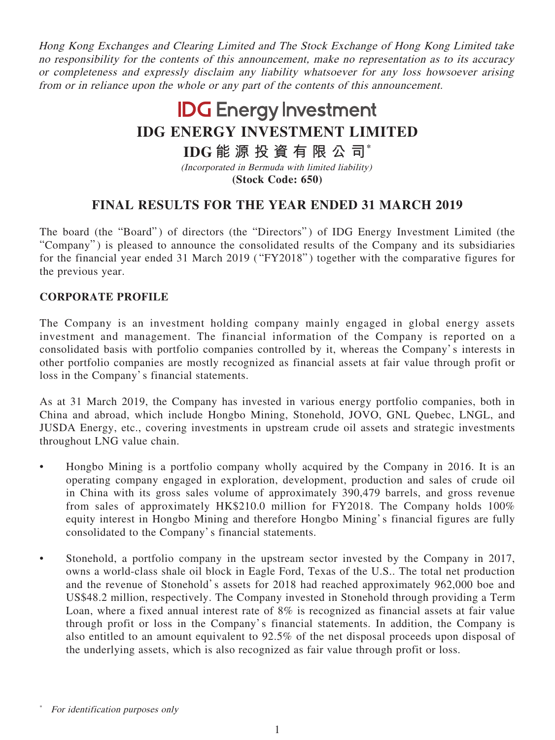Hong Kong Exchanges and Clearing Limited and The Stock Exchange of Hong Kong Limited take no responsibility for the contents of this announcement, make no representation as to its accuracy or completeness and expressly disclaim any liability whatsoever for any loss howsoever arising from or in reliance upon the whole or any part of the contents of this announcement.

# **IDG** Energy Investment **IDG ENERGY INVESTMENT LIMITED**

# **IDG 能源投資有限公司\***

(Incorporated in Bermuda with limited liability) **(Stock Code: 650)**

# **FINAL RESULTS FOR THE YEAR ENDED 31 MARCH 2019**

The board (the "Board") of directors (the "Directors") of IDG Energy Investment Limited (the "Company") is pleased to announce the consolidated results of the Company and its subsidiaries for the financial year ended 31 March 2019 ( "FY2018" ) together with the comparative figures for the previous year.

# **CORPORATE PROFILE**

The Company is an investment holding company mainly engaged in global energy assets investment and management. The financial information of the Company is reported on a consolidated basis with portfolio companies controlled by it, whereas the Company's interests in other portfolio companies are mostly recognized as financial assets at fair value through profit or loss in the Company's financial statements.

As at 31 March 2019, the Company has invested in various energy portfolio companies, both in China and abroad, which include Hongbo Mining, Stonehold, JOVO, GNL Quebec, LNGL, and JUSDA Energy, etc., covering investments in upstream crude oil assets and strategic investments throughout LNG value chain.

- Hongbo Mining is a portfolio company wholly acquired by the Company in 2016. It is an operating company engaged in exploration, development, production and sales of crude oil in China with its gross sales volume of approximately 390,479 barrels, and gross revenue from sales of approximately HK\$210.0 million for FY2018. The Company holds 100% equity interest in Hongbo Mining and therefore Hongbo Mining's financial figures are fully consolidated to the Company's financial statements.
- Stonehold, a portfolio company in the upstream sector invested by the Company in 2017, owns a world-class shale oil block in Eagle Ford, Texas of the U.S.. The total net production and the revenue of Stonehold's assets for 2018 had reached approximately 962,000 boe and US\$48.2 million, respectively. The Company invested in Stonehold through providing a Term Loan, where a fixed annual interest rate of 8% is recognized as financial assets at fair value through profit or loss in the Company's financial statements. In addition, the Company is also entitled to an amount equivalent to 92.5% of the net disposal proceeds upon disposal of the underlying assets, which is also recognized as fair value through profit or loss.

For identification purposes only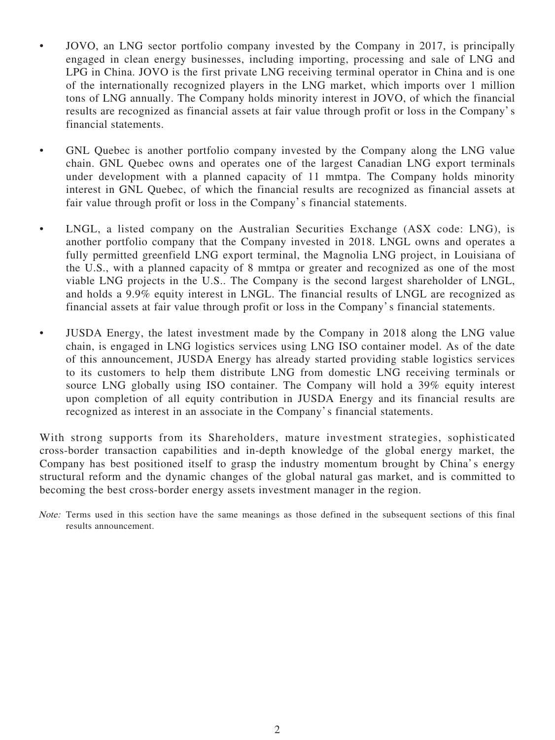- JOVO, an LNG sector portfolio company invested by the Company in 2017, is principally engaged in clean energy businesses, including importing, processing and sale of LNG and LPG in China. JOVO is the first private LNG receiving terminal operator in China and is one of the internationally recognized players in the LNG market, which imports over 1 million tons of LNG annually. The Company holds minority interest in JOVO, of which the financial results are recognized as financial assets at fair value through profit or loss in the Company's financial statements.
- GNL Quebec is another portfolio company invested by the Company along the LNG value chain. GNL Quebec owns and operates one of the largest Canadian LNG export terminals under development with a planned capacity of 11 mmtpa. The Company holds minority interest in GNL Quebec, of which the financial results are recognized as financial assets at fair value through profit or loss in the Company's financial statements.
- LNGL, a listed company on the Australian Securities Exchange (ASX code: LNG), is another portfolio company that the Company invested in 2018. LNGL owns and operates a fully permitted greenfield LNG export terminal, the Magnolia LNG project, in Louisiana of the U.S., with a planned capacity of 8 mmtpa or greater and recognized as one of the most viable LNG projects in the U.S.. The Company is the second largest shareholder of LNGL, and holds a 9.9% equity interest in LNGL. The financial results of LNGL are recognized as financial assets at fair value through profit or loss in the Company's financial statements.
- JUSDA Energy, the latest investment made by the Company in 2018 along the LNG value chain, is engaged in LNG logistics services using LNG ISO container model. As of the date of this announcement, JUSDA Energy has already started providing stable logistics services to its customers to help them distribute LNG from domestic LNG receiving terminals or source LNG globally using ISO container. The Company will hold a 39% equity interest upon completion of all equity contribution in JUSDA Energy and its financial results are recognized as interest in an associate in the Company's financial statements.

With strong supports from its Shareholders, mature investment strategies, sophisticated cross-border transaction capabilities and in-depth knowledge of the global energy market, the Company has best positioned itself to grasp the industry momentum brought by China's energy structural reform and the dynamic changes of the global natural gas market, and is committed to becoming the best cross-border energy assets investment manager in the region.

Note: Terms used in this section have the same meanings as those defined in the subsequent sections of this final results announcement.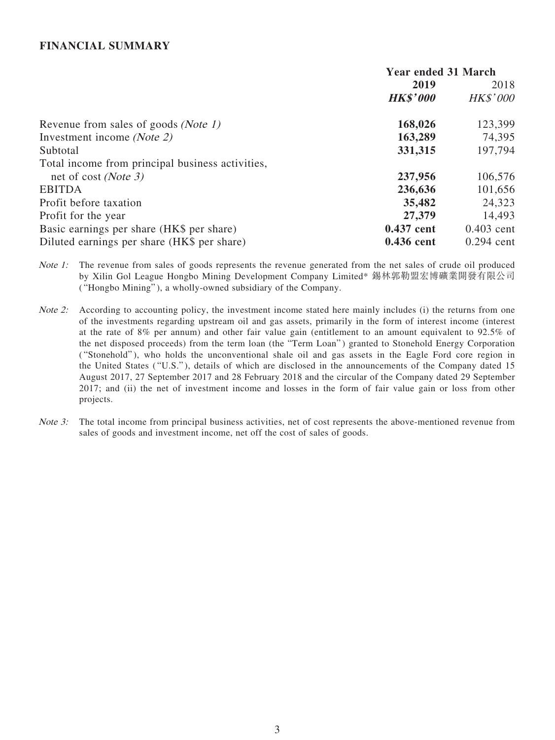### **FINANCIAL SUMMARY**

|                                                  | <b>Year ended 31 March</b> |                 |
|--------------------------------------------------|----------------------------|-----------------|
|                                                  | 2019                       | 2018            |
|                                                  | <b>HK\$'000</b>            | <b>HK\$'000</b> |
| Revenue from sales of goods <i>(Note 1)</i>      | 168,026                    | 123,399         |
| Investment income (Note 2)                       | 163,289                    | 74,395          |
| Subtotal                                         | 331,315                    | 197,794         |
| Total income from principal business activities, |                            |                 |
| net of cost ( <i>Note 3</i> )                    | 237,956                    | 106,576         |
| <b>EBITDA</b>                                    | 236,636                    | 101,656         |
| Profit before taxation                           | 35,482                     | 24,323          |
| Profit for the year                              | 27,379                     | 14,493          |
| Basic earnings per share (HK\$ per share)        | 0.437 cent                 | $0.403$ cent    |
| Diluted earnings per share (HK\$ per share)      | 0.436 cent                 | $0.294$ cent    |

Note 1: The revenue from sales of goods represents the revenue generated from the net sales of crude oil produced by Xilin Gol League Hongbo Mining Development Company Limited\* 錫林郭勒盟宏博礦業開發有限公司 ( "Hongbo Mining" ), a wholly-owned subsidiary of the Company.

- Note 2: According to accounting policy, the investment income stated here mainly includes (i) the returns from one of the investments regarding upstream oil and gas assets, primarily in the form of interest income (interest at the rate of 8% per annum) and other fair value gain (entitlement to an amount equivalent to 92.5% of the net disposed proceeds) from the term loan (the "Term Loan") granted to Stonehold Energy Corporation ( "Stonehold" ), who holds the unconventional shale oil and gas assets in the Eagle Ford core region in the United States ("U.S."), details of which are disclosed in the announcements of the Company dated 15 August 2017, 27 September 2017 and 28 February 2018 and the circular of the Company dated 29 September 2017; and (ii) the net of investment income and losses in the form of fair value gain or loss from other projects.
- Note 3: The total income from principal business activities, net of cost represents the above-mentioned revenue from sales of goods and investment income, net off the cost of sales of goods.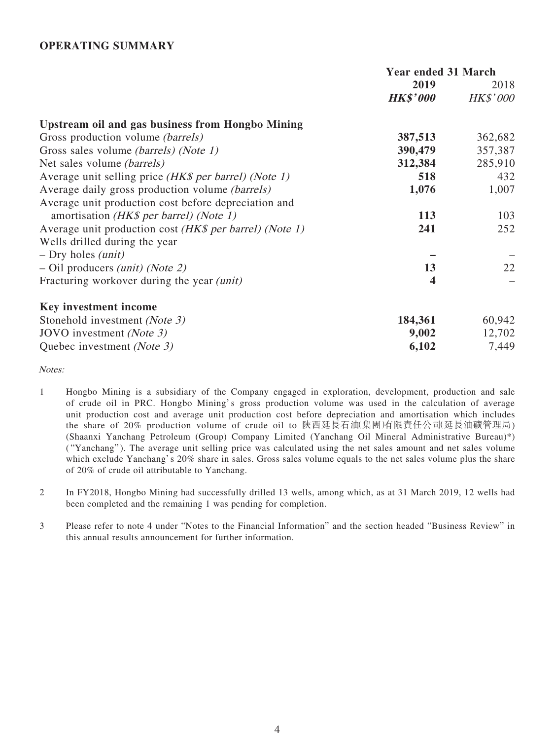### **OPERATING SUMMARY**

|                                                              | <b>Year ended 31 March</b> |                 |
|--------------------------------------------------------------|----------------------------|-----------------|
|                                                              | 2019                       | 2018            |
|                                                              | <b>HK\$'000</b>            | <b>HK\$'000</b> |
| <b>Upstream oil and gas business from Hongbo Mining</b>      |                            |                 |
| Gross production volume <i>(barrels)</i>                     | 387,513                    | 362,682         |
| Gross sales volume <i>(barrels) (Note 1)</i>                 | 390,479                    | 357,387         |
| Net sales volume <i>(barrels)</i>                            | 312,384                    | 285,910         |
| Average unit selling price <i>(HK\$ per barrel) (Note 1)</i> | 518                        | 432             |
| Average daily gross production volume <i>(barrels)</i>       | 1,076                      | 1,007           |
| Average unit production cost before depreciation and         |                            |                 |
| amortisation ( <i>HK\$ per barrel</i> ) ( <i>Note 1</i> )    | 113                        | 103             |
| Average unit production cost (HK\$ per barrel) (Note 1)      | 241                        | 252             |
| Wells drilled during the year                                |                            |                 |
| $-$ Dry holes <i>(unit)</i>                                  |                            |                 |
| $-$ Oil producers <i>(unit) (Note 2)</i>                     | 13                         | 22              |
| Fracturing workover during the year <i>(unit)</i>            | 4                          |                 |
| Key investment income                                        |                            |                 |
| Stonehold investment (Note 3)                                | 184,361                    | 60,942          |
| JOVO investment (Note 3)                                     | 9,002                      | 12,702          |
| Quebec investment (Note 3)                                   | 6,102                      | 7,449           |

Notes:

- 1 Hongbo Mining is a subsidiary of the Company engaged in exploration, development, production and sale of crude oil in PRC. Hongbo Mining's gross production volume was used in the calculation of average unit production cost and average unit production cost before depreciation and amortisation which includes the share of 20% production volume of crude oil to 陝西延長石油(集團)有限責任公司(延長油礦管理局) (Shaanxi Yanchang Petroleum (Group) Company Limited (Yanchang Oil Mineral Administrative Bureau)\*) ( "Yanchang" ). The average unit selling price was calculated using the net sales amount and net sales volume which exclude Yanchang's 20% share in sales. Gross sales volume equals to the net sales volume plus the share of 20% of crude oil attributable to Yanchang.
- 2 In FY2018, Hongbo Mining had successfully drilled 13 wells, among which, as at 31 March 2019, 12 wells had been completed and the remaining 1 was pending for completion.
- 3 Please refer to note 4 under "Notes to the Financial Information" and the section headed "Business Review" in this annual results announcement for further information.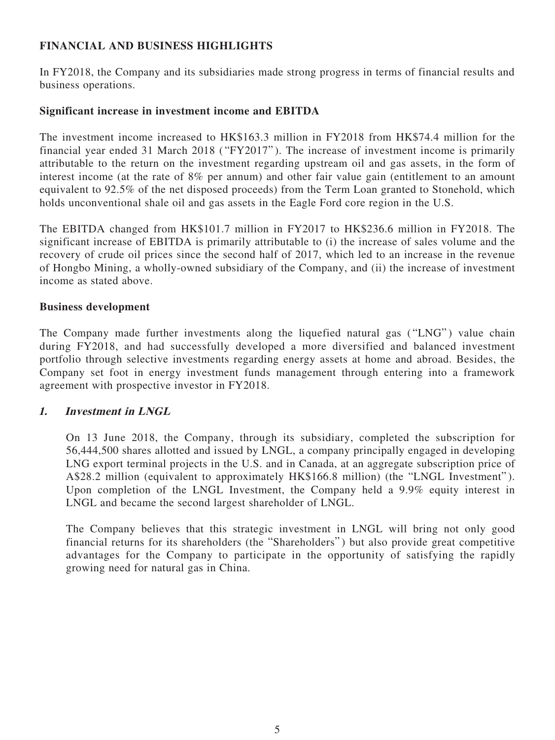# **FINANCIAL AND BUSINESS HIGHLIGHTS**

In FY2018, the Company and its subsidiaries made strong progress in terms of financial results and business operations.

### **Significant increase in investment income and EBITDA**

The investment income increased to HK\$163.3 million in FY2018 from HK\$74.4 million for the financial year ended 31 March 2018 ( "FY2017" ). The increase of investment income is primarily attributable to the return on the investment regarding upstream oil and gas assets, in the form of interest income (at the rate of 8% per annum) and other fair value gain (entitlement to an amount equivalent to 92.5% of the net disposed proceeds) from the Term Loan granted to Stonehold, which holds unconventional shale oil and gas assets in the Eagle Ford core region in the U.S.

The EBITDA changed from HK\$101.7 million in FY2017 to HK\$236.6 million in FY2018. The significant increase of EBITDA is primarily attributable to (i) the increase of sales volume and the recovery of crude oil prices since the second half of 2017, which led to an increase in the revenue of Hongbo Mining, a wholly-owned subsidiary of the Company, and (ii) the increase of investment income as stated above.

### **Business development**

The Company made further investments along the liquefied natural gas ("LNG") value chain during FY2018, and had successfully developed a more diversified and balanced investment portfolio through selective investments regarding energy assets at home and abroad. Besides, the Company set foot in energy investment funds management through entering into a framework agreement with prospective investor in FY2018.

### **1. Investment in LNGL**

On 13 June 2018, the Company, through its subsidiary, completed the subscription for 56,444,500 shares allotted and issued by LNGL, a company principally engaged in developing LNG export terminal projects in the U.S. and in Canada, at an aggregate subscription price of A\$28.2 million (equivalent to approximately HK\$166.8 million) (the "LNGL Investment" ). Upon completion of the LNGL Investment, the Company held a 9.9% equity interest in LNGL and became the second largest shareholder of LNGL.

The Company believes that this strategic investment in LNGL will bring not only good financial returns for its shareholders (the "Shareholders" ) but also provide great competitive advantages for the Company to participate in the opportunity of satisfying the rapidly growing need for natural gas in China.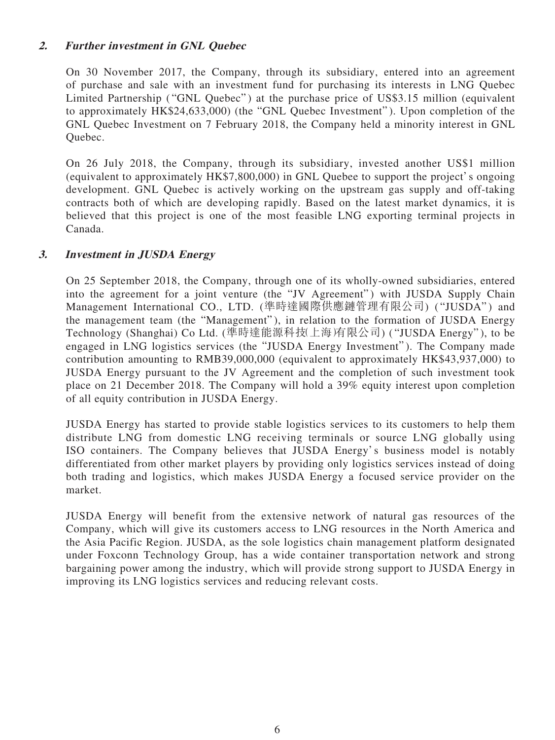# **2. Further investment in GNL Quebec**

On 30 November 2017, the Company, through its subsidiary, entered into an agreement of purchase and sale with an investment fund for purchasing its interests in LNG Quebec Limited Partnership ("GNL Quebec") at the purchase price of US\$3.15 million (equivalent to approximately HK\$24,633,000) (the "GNL Quebec Investment" ). Upon completion of the GNL Quebec Investment on 7 February 2018, the Company held a minority interest in GNL Quebec.

On 26 July 2018, the Company, through its subsidiary, invested another US\$1 million (equivalent to approximately HK\$7,800,000) in GNL Quebee to support the project's ongoing development. GNL Quebec is actively working on the upstream gas supply and off-taking contracts both of which are developing rapidly. Based on the latest market dynamics, it is believed that this project is one of the most feasible LNG exporting terminal projects in Canada.

# **3. Investment in JUSDA Energy**

On 25 September 2018, the Company, through one of its wholly-owned subsidiaries, entered into the agreement for a joint venture (the "JV Agreement") with JUSDA Supply Chain Management International CO., LTD. (準時達國際供應鏈管理有限公司) ("JUSDA") and the management team (the "Management" ), in relation to the formation of JUSDA Energy Technology (Shanghai) Co Ltd. (準時達能源科技(上海)有限公司) ( "JUSDA Energy"), to be engaged in LNG logistics services (the "JUSDA Energy Investment" ). The Company made contribution amounting to RMB39,000,000 (equivalent to approximately HK\$43,937,000) to JUSDA Energy pursuant to the JV Agreement and the completion of such investment took place on 21 December 2018. The Company will hold a 39% equity interest upon completion of all equity contribution in JUSDA Energy.

JUSDA Energy has started to provide stable logistics services to its customers to help them distribute LNG from domestic LNG receiving terminals or source LNG globally using ISO containers. The Company believes that JUSDA Energy's business model is notably differentiated from other market players by providing only logistics services instead of doing both trading and logistics, which makes JUSDA Energy a focused service provider on the market.

JUSDA Energy will benefit from the extensive network of natural gas resources of the Company, which will give its customers access to LNG resources in the North America and the Asia Pacific Region. JUSDA, as the sole logistics chain management platform designated under Foxconn Technology Group, has a wide container transportation network and strong bargaining power among the industry, which will provide strong support to JUSDA Energy in improving its LNG logistics services and reducing relevant costs.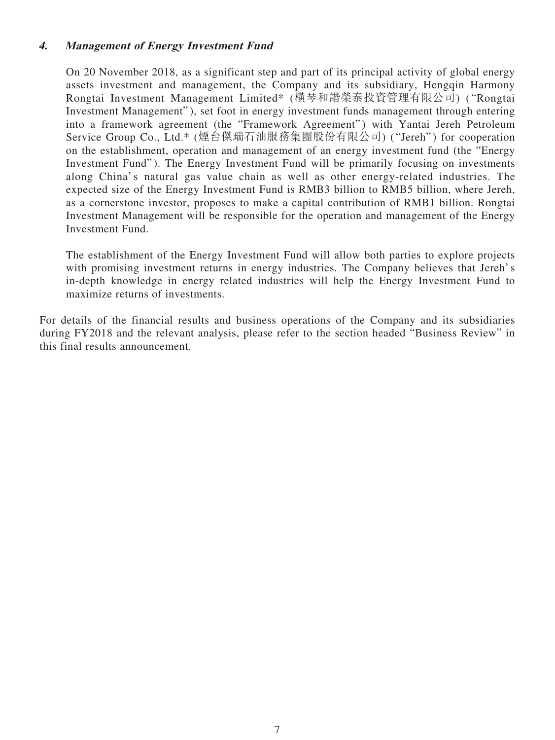# **4. Management of Energy Investment Fund**

On 20 November 2018, as a significant step and part of its principal activity of global energy assets investment and management, the Company and its subsidiary, Hengqin Harmony Rongtai Investment Management Limited\* (橫琴和諧榮泰投資管理有限公司) ( "Rongtai Investment Management" ), set foot in energy investment funds management through entering into a framework agreement (the "Framework Agreement") with Yantai Jereh Petroleum Service Group Co., Ltd.\* (煙台傑瑞石油服務集團股份有限公司) ( "Jereh" ) for cooperation on the establishment, operation and management of an energy investment fund (the "Energy Investment Fund"). The Energy Investment Fund will be primarily focusing on investments along China's natural gas value chain as well as other energy-related industries. The expected size of the Energy Investment Fund is RMB3 billion to RMB5 billion, where Jereh, as a cornerstone investor, proposes to make a capital contribution of RMB1 billion. Rongtai Investment Management will be responsible for the operation and management of the Energy Investment Fund.

The establishment of the Energy Investment Fund will allow both parties to explore projects with promising investment returns in energy industries. The Company believes that Jereh's in-depth knowledge in energy related industries will help the Energy Investment Fund to maximize returns of investments.

For details of the financial results and business operations of the Company and its subsidiaries during FY2018 and the relevant analysis, please refer to the section headed "Business Review" in this final results announcement.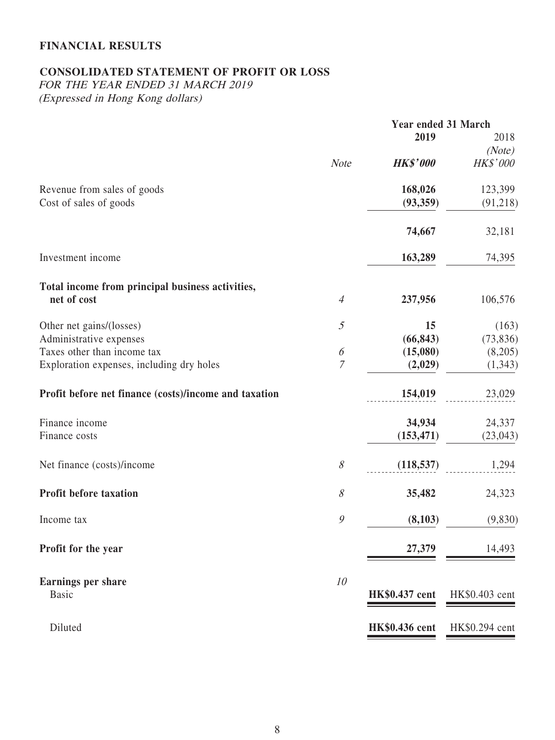# **FINANCIAL RESULTS**

# **CONSOLIDATED STATEMENT OF PROFIT OR LOSS**

FOR THE YEAR ENDED 31 MARCH 2019 (Expressed in Hong Kong dollars)

|                       |                       | Year ended 31 March |  |
|-----------------------|-----------------------|---------------------|--|
|                       | 2019                  | 2018                |  |
|                       |                       | (Note)              |  |
| <b>Note</b>           |                       | <b>HK\$'000</b>     |  |
|                       | 168,026               | 123,399             |  |
|                       | (93, 359)             | (91,218)            |  |
|                       | 74,667                | 32,181              |  |
|                       | 163,289               | 74,395              |  |
|                       |                       |                     |  |
| $\overline{4}$        | 237,956               | 106,576             |  |
| $\mathfrak{H}$        | 15                    | (163)               |  |
|                       | (66, 843)             | (73, 836)           |  |
| $\boldsymbol{\delta}$ | (15,080)              | (8,205)             |  |
| $\overline{7}$        | (2,029)               | (1, 343)            |  |
|                       | 154,019               | 23,029              |  |
|                       | 34,934                | 24,337              |  |
|                       | (153, 471)            | (23, 043)           |  |
| $\mathcal S$          | (118, 537)            | 1,294               |  |
| $\mathcal S$          | 35,482                | 24,323              |  |
| $\mathcal{G}$         | (8,103)               | (9,830)             |  |
|                       | 27,379                | 14,493              |  |
| 10                    | HK\$0.437 cent        | HK\$0.403 cent      |  |
|                       | <b>HK\$0.436</b> cent | HK\$0.294 cent      |  |
|                       |                       | <b>HK\$'000</b>     |  |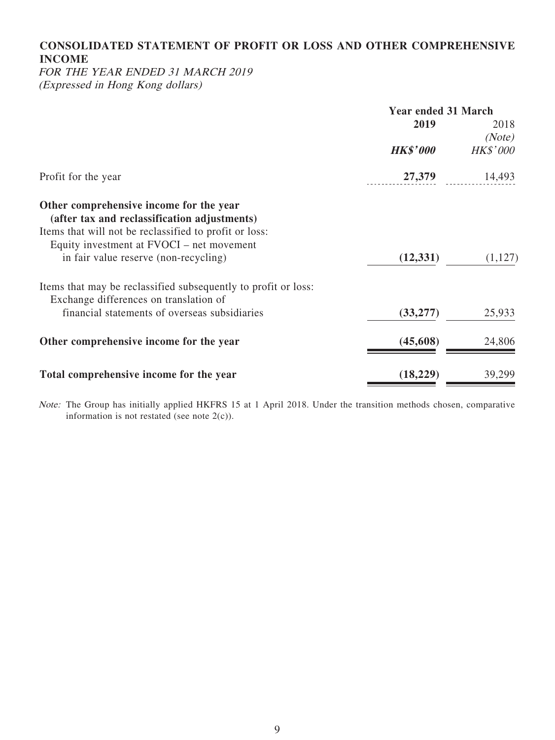# **CONSOLIDATED STATEMENT OF PROFIT OR LOSS AND OTHER COMPREHENSIVE INCOME**

FOR THE YEAR ENDED 31 MARCH 2019 (Expressed in Hong Kong dollars)

|                                                                                                     | <b>Year ended 31 March</b> |                 |
|-----------------------------------------------------------------------------------------------------|----------------------------|-----------------|
|                                                                                                     | 2019                       | 2018            |
|                                                                                                     |                            | (Note)          |
|                                                                                                     | <b>HK\$'000</b>            | <b>HK\$'000</b> |
| Profit for the year                                                                                 | 27,379                     | 14,493          |
| Other comprehensive income for the year                                                             |                            |                 |
| (after tax and reclassification adjustments)                                                        |                            |                 |
| Items that will not be reclassified to profit or loss:<br>Equity investment at FVOCI – net movement |                            |                 |
| in fair value reserve (non-recycling)                                                               | (12, 331)                  | (1,127)         |
|                                                                                                     |                            |                 |
| Items that may be reclassified subsequently to profit or loss:                                      |                            |                 |
| Exchange differences on translation of                                                              |                            |                 |
| financial statements of overseas subsidiaries                                                       | (33, 277)                  | 25,933          |
| Other comprehensive income for the year                                                             | (45, 608)                  | 24,806          |
|                                                                                                     |                            |                 |
| Total comprehensive income for the year                                                             | (18, 229)                  | 39,299          |

Note: The Group has initially applied HKFRS 15 at 1 April 2018. Under the transition methods chosen, comparative information is not restated (see note  $2(c)$ ).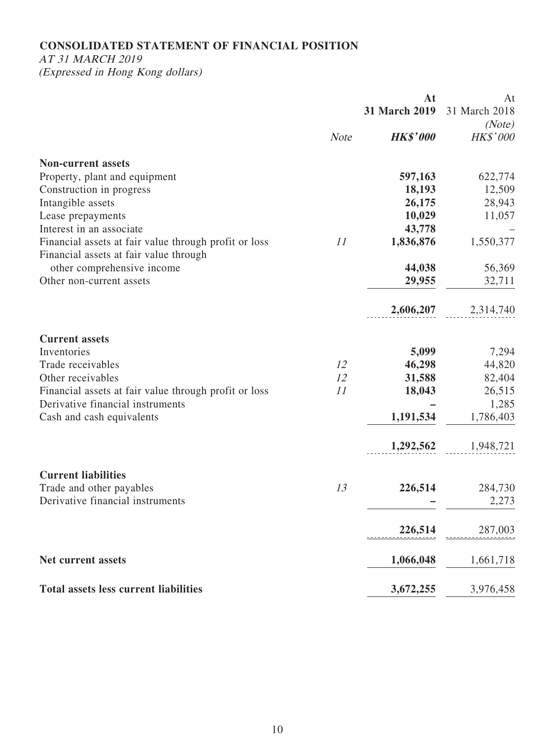# **CONSOLIDATED STATEMENT OF FINANCIAL POSITION**

AT 31 MARCH 2019

(Expressed in Hong Kong dollars)

|                                                                                                 |             | At                   | At              |
|-------------------------------------------------------------------------------------------------|-------------|----------------------|-----------------|
|                                                                                                 |             | <b>31 March 2019</b> | 31 March 2018   |
|                                                                                                 |             |                      | (Note)          |
|                                                                                                 | <b>Note</b> | <b>HK\$'000</b>      | <b>HK\$'000</b> |
| <b>Non-current assets</b>                                                                       |             |                      |                 |
| Property, plant and equipment                                                                   |             | 597,163              | 622,774         |
| Construction in progress                                                                        |             | 18,193               | 12,509          |
| Intangible assets                                                                               |             | 26,175               | 28,943          |
| Lease prepayments                                                                               |             | 10,029               | 11,057          |
| Interest in an associate                                                                        |             | 43,778               |                 |
| Financial assets at fair value through profit or loss<br>Financial assets at fair value through | 11          | 1,836,876            | 1,550,377       |
| other comprehensive income                                                                      |             | 44,038               | 56,369          |
| Other non-current assets                                                                        |             | 29,955               | 32,711          |
|                                                                                                 |             | 2,606,207            | 2,314,740       |
| <b>Current assets</b>                                                                           |             |                      |                 |
| Inventories                                                                                     |             | 5,099                | 7,294           |
| Trade receivables                                                                               | 12          | 46,298               | 44,820          |
| Other receivables                                                                               | 12          | 31,588               | 82,404          |
| Financial assets at fair value through profit or loss                                           | 11          | 18,043               | 26,515          |
| Derivative financial instruments                                                                |             |                      | 1,285           |
| Cash and cash equivalents                                                                       |             | 1,191,534            | 1,786,403       |
|                                                                                                 |             | 1,292,562            | 1,948,721       |
| <b>Current liabilities</b>                                                                      |             |                      |                 |
| Trade and other payables                                                                        | 13          | 226,514              | 284,730         |
| Derivative financial instruments                                                                |             |                      | 2,273           |
|                                                                                                 |             | 226,514              | 287,003         |
|                                                                                                 |             |                      |                 |
| Net current assets                                                                              |             | 1,066,048            | 1,661,718       |
| <b>Total assets less current liabilities</b>                                                    |             | 3,672,255            | 3,976,458       |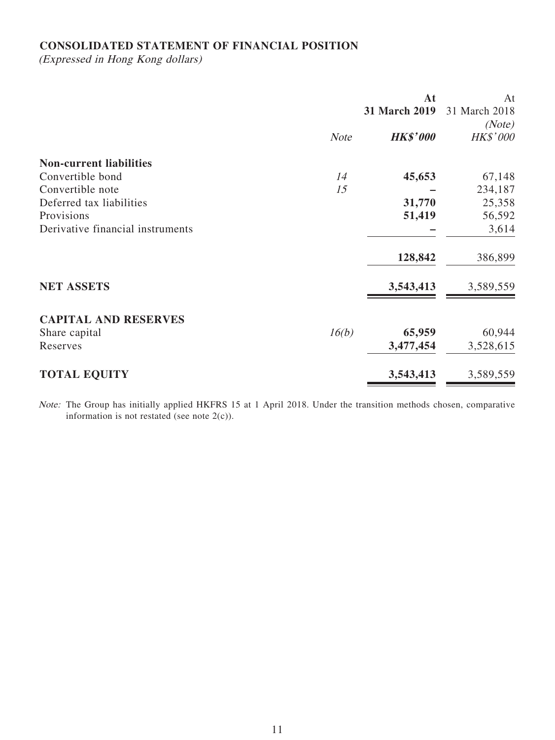# **CONSOLIDATED STATEMENT OF FINANCIAL POSITION**

(Expressed in Hong Kong dollars)

|                                  |             | At              | At            |
|----------------------------------|-------------|-----------------|---------------|
|                                  |             | 31 March 2019   | 31 March 2018 |
|                                  |             |                 | (Note)        |
|                                  | <b>Note</b> | <b>HK\$'000</b> | HK\$'000      |
| <b>Non-current liabilities</b>   |             |                 |               |
| Convertible bond                 | 14          | 45,653          | 67,148        |
| Convertible note                 | 15          |                 | 234,187       |
| Deferred tax liabilities         |             | 31,770          | 25,358        |
| Provisions                       |             | 51,419          | 56,592        |
| Derivative financial instruments |             |                 | 3,614         |
|                                  |             | 128,842         | 386,899       |
| <b>NET ASSETS</b>                |             | 3,543,413       | 3,589,559     |
| <b>CAPITAL AND RESERVES</b>      |             |                 |               |
| Share capital                    | 16(b)       | 65,959          | 60,944        |
| Reserves                         |             | 3,477,454       | 3,528,615     |
| <b>TOTAL EQUITY</b>              |             | 3,543,413       | 3,589,559     |

Note: The Group has initially applied HKFRS 15 at 1 April 2018. Under the transition methods chosen, comparative information is not restated (see note  $2(c)$ ).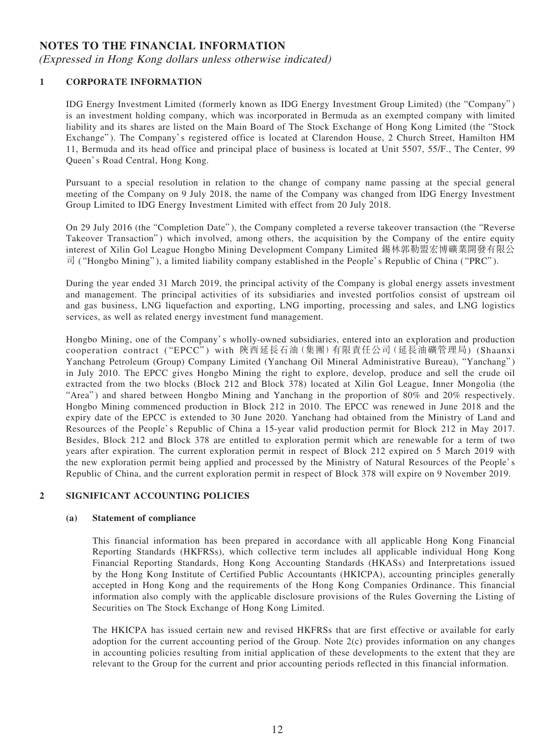### **NOTES TO THE FINANCIAL INFORMATION**

(Expressed in Hong Kong dollars unless otherwise indicated)

#### **1 CORPORATE INFORMATION**

IDG Energy Investment Limited (formerly known as IDG Energy Investment Group Limited) (the "Company" ) is an investment holding company, which was incorporated in Bermuda as an exempted company with limited liability and its shares are listed on the Main Board of The Stock Exchange of Hong Kong Limited (the "Stock Exchange" ). The Company's registered office is located at Clarendon House, 2 Church Street, Hamilton HM 11, Bermuda and its head office and principal place of business is located at Unit 5507, 55/F., The Center, 99 Queen's Road Central, Hong Kong.

Pursuant to a special resolution in relation to the change of company name passing at the special general meeting of the Company on 9 July 2018, the name of the Company was changed from IDG Energy Investment Group Limited to IDG Energy Investment Limited with effect from 20 July 2018.

On 29 July 2016 (the "Completion Date" ), the Company completed a reverse takeover transaction (the "Reverse Takeover Transaction") which involved, among others, the acquisition by the Company of the entire equity interest of Xilin Gol League Hongbo Mining Development Company Limited 錫林郭勒盟宏博礦業開發有限公  $\vec{\mathbb{E}}$  ("Hongbo Mining"), a limited liability company established in the People's Republic of China ("PRC").

During the year ended 31 March 2019, the principal activity of the Company is global energy assets investment and management. The principal activities of its subsidiaries and invested portfolios consist of upstream oil and gas business, LNG liquefaction and exporting, LNG importing, processing and sales, and LNG logistics services, as well as related energy investment fund management.

Hongbo Mining, one of the Company's wholly-owned subsidiaries, entered into an exploration and production cooperation contract ( "EPCC" ) with 陝西延長石油(集團)有限責任公司(延長油礦管理局) (Shaanxi Yanchang Petroleum (Group) Company Limited (Yanchang Oil Mineral Administrative Bureau), "Yanchang" ) in July 2010. The EPCC gives Hongbo Mining the right to explore, develop, produce and sell the crude oil extracted from the two blocks (Block 212 and Block 378) located at Xilin Gol League, Inner Mongolia (the "Area") and shared between Hongbo Mining and Yanchang in the proportion of 80% and 20% respectively. Hongbo Mining commenced production in Block 212 in 2010. The EPCC was renewed in June 2018 and the expiry date of the EPCC is extended to 30 June 2020. Yanchang had obtained from the Ministry of Land and Resources of the People's Republic of China a 15-year valid production permit for Block 212 in May 2017. Besides, Block 212 and Block 378 are entitled to exploration permit which are renewable for a term of two years after expiration. The current exploration permit in respect of Block 212 expired on 5 March 2019 with the new exploration permit being applied and processed by the Ministry of Natural Resources of the People's Republic of China, and the current exploration permit in respect of Block 378 will expire on 9 November 2019.

#### **2 SIGNIFICANT ACCOUNTING POLICIES**

#### **(a) Statement of compliance**

This financial information has been prepared in accordance with all applicable Hong Kong Financial Reporting Standards (HKFRSs), which collective term includes all applicable individual Hong Kong Financial Reporting Standards, Hong Kong Accounting Standards (HKASs) and Interpretations issued by the Hong Kong Institute of Certified Public Accountants (HKICPA), accounting principles generally accepted in Hong Kong and the requirements of the Hong Kong Companies Ordinance. This financial information also comply with the applicable disclosure provisions of the Rules Governing the Listing of Securities on The Stock Exchange of Hong Kong Limited.

The HKICPA has issued certain new and revised HKFRSs that are first effective or available for early adoption for the current accounting period of the Group. Note 2(c) provides information on any changes in accounting policies resulting from initial application of these developments to the extent that they are relevant to the Group for the current and prior accounting periods reflected in this financial information.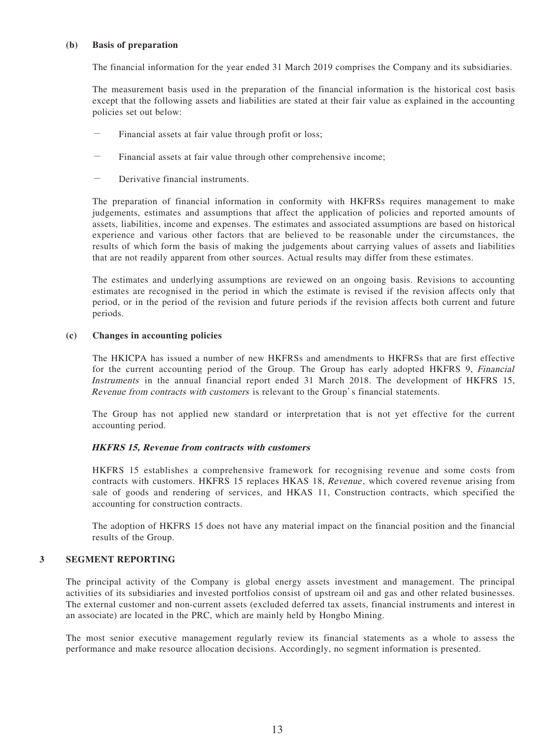#### **(b) Basis of preparation**

The financial information for the year ended 31 March 2019 comprises the Company and its subsidiaries.

The measurement basis used in the preparation of the financial information is the historical cost basis except that the following assets and liabilities are stated at their fair value as explained in the accounting policies set out below:

- Financial assets at fair value through profit or loss;
- Financial assets at fair value through other comprehensive income;
- Derivative financial instruments.

The preparation of financial information in conformity with HKFRSs requires management to make judgements, estimates and assumptions that affect the application of policies and reported amounts of assets, liabilities, income and expenses. The estimates and associated assumptions are based on historical experience and various other factors that are believed to be reasonable under the circumstances, the results of which form the basis of making the judgements about carrying values of assets and liabilities that are not readily apparent from other sources. Actual results may differ from these estimates.

The estimates and underlying assumptions are reviewed on an ongoing basis. Revisions to accounting estimates are recognised in the period in which the estimate is revised if the revision affects only that period, or in the period of the revision and future periods if the revision affects both current and future periods.

#### **(c) Changes in accounting policies**

The HKICPA has issued a number of new HKFRSs and amendments to HKFRSs that are first effective for the current accounting period of the Group. The Group has early adopted HKFRS 9, *Financial* Instruments in the annual financial report ended 31 March 2018. The development of HKFRS 15, Revenue from contracts with customers is relevant to the Group's financial statements.

The Group has not applied new standard or interpretation that is not yet effective for the current accounting period.

#### **HKFRS 15, Revenue from contracts with customers**

HKFRS 15 establishes a comprehensive framework for recognising revenue and some costs from contracts with customers. HKFRS 15 replaces HKAS 18, Revenue , which covered revenue arising from sale of goods and rendering of services, and HKAS 11, Construction contracts, which specified the accounting for construction contracts.

The adoption of HKFRS 15 does not have any material impact on the financial position and the financial results of the Group.

#### **3 SEGMENT REPORTING**

The principal activity of the Company is global energy assets investment and management. The principal activities of its subsidiaries and invested portfolios consist of upstream oil and gas and other related businesses. The external customer and non-current assets (excluded deferred tax assets, financial instruments and interest in an associate) are located in the PRC, which are mainly held by Hongbo Mining.

The most senior executive management regularly review its financial statements as a whole to assess the performance and make resource allocation decisions. Accordingly, no segment information is presented.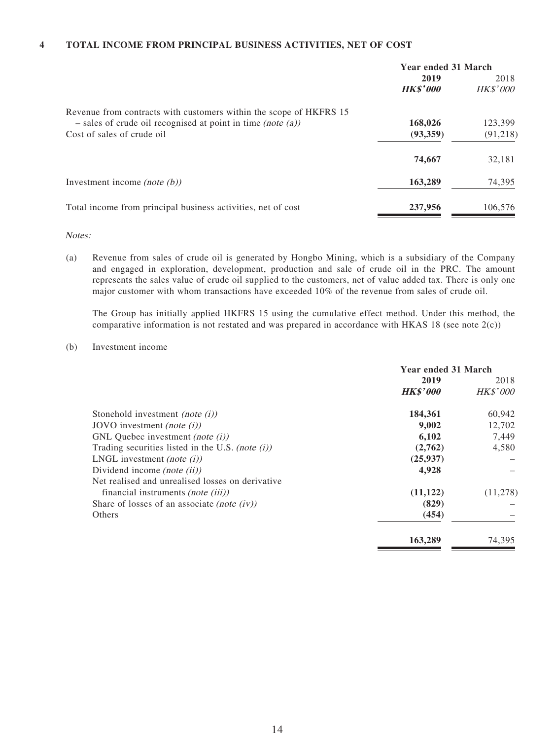#### **4 TOTAL INCOME FROM PRINCIPAL BUSINESS ACTIVITIES, NET OF COST**

|                                                                    | <b>Year ended 31 March</b> |                 |
|--------------------------------------------------------------------|----------------------------|-----------------|
|                                                                    | 2019                       | 2018            |
|                                                                    | <b>HK\$'000</b>            | <b>HK\$'000</b> |
| Revenue from contracts with customers within the scope of HKFRS 15 |                            |                 |
| $-$ sales of crude oil recognised at point in time (note (a))      | 168,026                    | 123,399         |
| Cost of sales of crude oil                                         | (93,359)                   | (91, 218)       |
|                                                                    | 74,667                     | 32,181          |
| Investment income <i>(note <math>(b)</math>)</i>                   | 163,289                    | 74,395          |
| Total income from principal business activities, net of cost       | 237,956                    | 106.576         |

Notes:

(a) Revenue from sales of crude oil is generated by Hongbo Mining, which is a subsidiary of the Company and engaged in exploration, development, production and sale of crude oil in the PRC. The amount represents the sales value of crude oil supplied to the customers, net of value added tax. There is only one major customer with whom transactions have exceeded 10% of the revenue from sales of crude oil.

The Group has initially applied HKFRS 15 using the cumulative effect method. Under this method, the comparative information is not restated and was prepared in accordance with HKAS 18 (see note  $2(c)$ )

#### (b) Investment income

|                                                     | <b>Year ended 31 March</b> |                         |
|-----------------------------------------------------|----------------------------|-------------------------|
|                                                     | 2019<br><b>HK\$'000</b>    | 2018<br><b>HK\$'000</b> |
| Stonehold investment <i>(note (i))</i>              | 184,361                    | 60,942                  |
| JOVO investment (note $(i)$ )                       | 9,002                      | 12,702                  |
| GNL Quebec investment (note $(i)$ )                 | 6,102                      | 7,449                   |
| Trading securities listed in the U.S. (note $(i)$ ) | (2,762)                    | 4,580                   |
| LNGL investment <i>(note (i))</i>                   | (25, 937)                  |                         |
| Dividend income (note $(ii)$ )                      | 4,928                      |                         |
| Net realised and unrealised losses on derivative    |                            |                         |
| financial instruments <i>(note (iii))</i>           | (11, 122)                  | (11,278)                |
| Share of losses of an associate <i>(note (iv))</i>  | (829)                      |                         |
| <b>Others</b>                                       | (454)                      |                         |
|                                                     | 163,289                    | 74,395                  |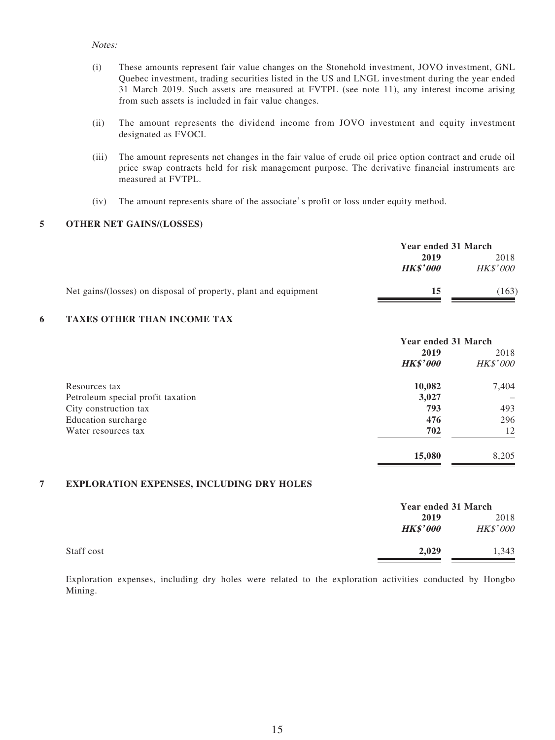#### Notes:

- (i) These amounts represent fair value changes on the Stonehold investment, JOVO investment, GNL Quebec investment, trading securities listed in the US and LNGL investment during the year ended 31 March 2019. Such assets are measured at FVTPL (see note 11), any interest income arising from such assets is included in fair value changes.
- (ii) The amount represents the dividend income from JOVO investment and equity investment designated as FVOCI.
- (iii) The amount represents net changes in the fair value of crude oil price option contract and crude oil price swap contracts held for risk management purpose. The derivative financial instruments are measured at FVTPL.
- (iv) The amount represents share of the associate's profit or loss under equity method.

#### **5 OTHER NET GAINS/(LOSSES)**

|                                                                 | Year ended 31 March |                 |
|-----------------------------------------------------------------|---------------------|-----------------|
|                                                                 | 2019<br>2018        |                 |
|                                                                 | <b>HK\$'000</b>     | <i>HK\$'000</i> |
| Net gains/(losses) on disposal of property, plant and equipment | 15                  | 163)            |

#### **6 TAXES OTHER THAN INCOME TAX**

|                                   | Year ended 31 March |                 |
|-----------------------------------|---------------------|-----------------|
|                                   | 2019                | 2018            |
|                                   | <b>HK\$'000</b>     | <b>HK\$'000</b> |
| Resources tax                     | 10,082              | 7,404           |
| Petroleum special profit taxation | 3,027               |                 |
| City construction tax             | 793                 | 493             |
| Education surcharge               | 476                 | 296             |
| Water resources tax               | 702                 | 12              |
|                                   | 15,080              | 8,205           |

#### **7 EXPLORATION EXPENSES, INCLUDING DRY HOLES**

|            | Year ended 31 March |          |
|------------|---------------------|----------|
|            | 2019                | 2018     |
|            | <b>HK\$'000</b>     | HK\$'000 |
| Staff cost | 2,029               | 1,343    |

Exploration expenses, including dry holes were related to the exploration activities conducted by Hongbo Mining.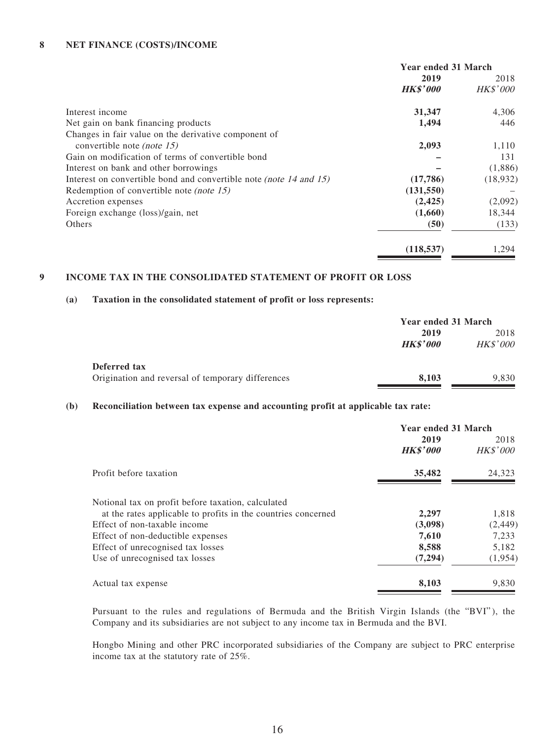#### **8 NET FINANCE (COSTS)/INCOME**

|                                                                    | <b>Year ended 31 March</b> |                 |
|--------------------------------------------------------------------|----------------------------|-----------------|
|                                                                    | 2019                       | 2018            |
|                                                                    | <b>HK\$'000</b>            | <b>HK\$'000</b> |
| Interest income                                                    | 31,347                     | 4,306           |
| Net gain on bank financing products                                | 1,494                      | 446             |
| Changes in fair value on the derivative component of               |                            |                 |
| convertible note (note 15)                                         | 2,093                      | 1,110           |
| Gain on modification of terms of convertible bond                  |                            | 131             |
| Interest on bank and other borrowings                              |                            | (1,886)         |
| Interest on convertible bond and convertible note (note 14 and 15) | (17,786)                   | (18,932)        |
| Redemption of convertible note <i>(note 15)</i>                    | (131, 550)                 |                 |
| Accretion expenses                                                 | (2, 425)                   | (2,092)         |
| Foreign exchange (loss)/gain, net                                  | (1,660)                    | 18,344          |
| Others                                                             | (50)                       | (133)           |
|                                                                    | (118, 537)                 | 1.294           |

#### **9 INCOME TAX IN THE CONSOLIDATED STATEMENT OF PROFIT OR LOSS**

#### **(a) Taxation in the consolidated statement of profit or loss represents:**

|                                                   | Year ended 31 March |                 |
|---------------------------------------------------|---------------------|-----------------|
|                                                   | 2019                | 2018            |
|                                                   | <b>HK\$'000</b>     | <b>HK\$'000</b> |
| Deferred tax                                      |                     |                 |
| Origination and reversal of temporary differences | 8.103               | 9,830           |

#### **(b) Reconciliation between tax expense and accounting profit at applicable tax rate:**

|                                                               | <b>Year ended 31 March</b> |          |  |
|---------------------------------------------------------------|----------------------------|----------|--|
|                                                               | 2019                       | 2018     |  |
|                                                               | <b>HK\$'000</b>            | HK\$'000 |  |
| Profit before taxation                                        | 35,482                     | 24,323   |  |
| Notional tax on profit before taxation, calculated            |                            |          |  |
| at the rates applicable to profits in the countries concerned | 2,297                      | 1,818    |  |
| Effect of non-taxable income                                  | (3,098)                    | (2, 449) |  |
| Effect of non-deductible expenses                             | 7,610                      | 7,233    |  |
| Effect of unrecognised tax losses                             | 8,588                      | 5,182    |  |
| Use of unrecognised tax losses                                | (7,294)                    | (1, 954) |  |
| Actual tax expense                                            | 8,103                      | 9,830    |  |

Pursuant to the rules and regulations of Bermuda and the British Virgin Islands (the "BVI" ), the Company and its subsidiaries are not subject to any income tax in Bermuda and the BVI.

Hongbo Mining and other PRC incorporated subsidiaries of the Company are subject to PRC enterprise income tax at the statutory rate of 25%.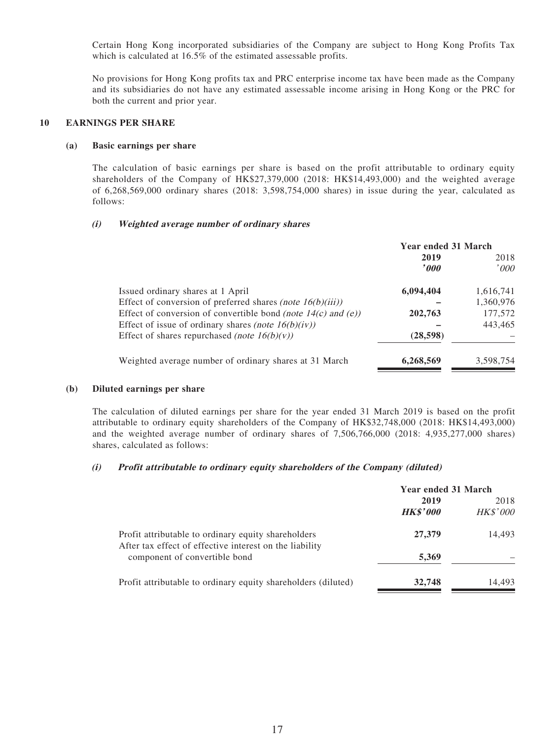Certain Hong Kong incorporated subsidiaries of the Company are subject to Hong Kong Profits Tax which is calculated at 16.5% of the estimated assessable profits.

No provisions for Hong Kong profits tax and PRC enterprise income tax have been made as the Company and its subsidiaries do not have any estimated assessable income arising in Hong Kong or the PRC for both the current and prior year.

#### **10 EARNINGS PER SHARE**

#### **(a) Basic earnings per share**

The calculation of basic earnings per share is based on the profit attributable to ordinary equity shareholders of the Company of HK\$27,379,000 (2018: HK\$14,493,000) and the weighted average of 6,268,569,000 ordinary shares (2018: 3,598,754,000 shares) in issue during the year, calculated as follows:

#### **(i) Weighted average number of ordinary shares**

|                                                                 | <b>Year ended 31 March</b> |           |  |
|-----------------------------------------------------------------|----------------------------|-----------|--|
|                                                                 | 2019                       | 2018      |  |
|                                                                 | '000'                      | '000      |  |
| Issued ordinary shares at 1 April                               | 6,094,404                  | 1,616,741 |  |
| Effect of conversion of preferred shares (note $16(b)(iii)$ )   |                            | 1,360,976 |  |
| Effect of conversion of convertible bond (note $14(c)$ and (e)) | 202,763                    | 177,572   |  |
| Effect of issue of ordinary shares (note $16(b)(iv)$ )          |                            | 443,465   |  |
| Effect of shares repurchased (note $16(b)(v)$ )                 | (28, 598)                  |           |  |
| Weighted average number of ordinary shares at 31 March          | 6,268,569                  | 3,598,754 |  |

#### **(b) Diluted earnings per share**

The calculation of diluted earnings per share for the year ended 31 March 2019 is based on the profit attributable to ordinary equity shareholders of the Company of HK\$32,748,000 (2018: HK\$14,493,000) and the weighted average number of ordinary shares of 7,506,766,000 (2018: 4,935,277,000 shares) shares, calculated as follows:

#### **(i) Profit attributable to ordinary equity shareholders of the Company (diluted)**

|                                                                                                                | <b>Year ended 31 March</b> |                         |  |
|----------------------------------------------------------------------------------------------------------------|----------------------------|-------------------------|--|
|                                                                                                                | 2019<br><b>HK\$'000</b>    | 2018<br><b>HK\$'000</b> |  |
| Profit attributable to ordinary equity shareholders<br>After tax effect of effective interest on the liability | 27,379                     | 14,493                  |  |
| component of convertible bond                                                                                  | 5,369                      |                         |  |
| Profit attributable to ordinary equity shareholders (diluted)                                                  | 32,748                     | 14,493                  |  |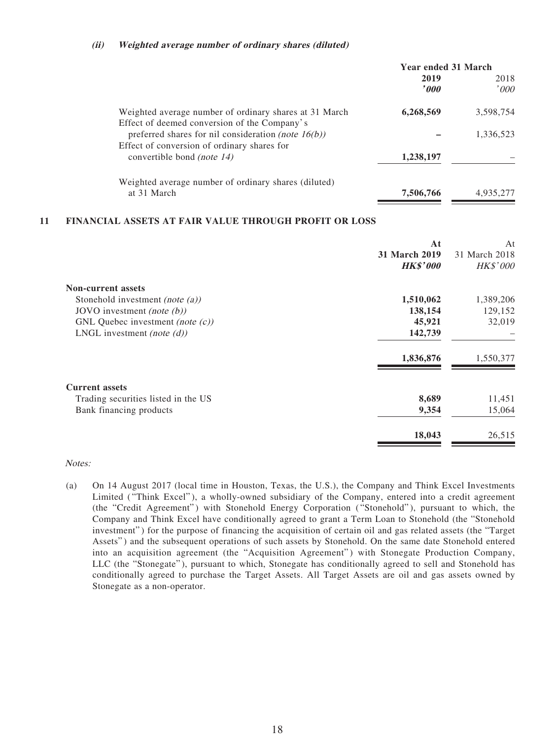#### **(ii) Weighted average number of ordinary shares (diluted)**

|                                                                                                        | Year ended 31 March |           |  |
|--------------------------------------------------------------------------------------------------------|---------------------|-----------|--|
|                                                                                                        | 2019                | 2018      |  |
|                                                                                                        | '000                | '000      |  |
| Weighted average number of ordinary shares at 31 March<br>Effect of deemed conversion of the Company's | 6,268,569           | 3,598,754 |  |
| preferred shares for nil consideration (note $16(b)$ )                                                 |                     | 1,336,523 |  |
| Effect of conversion of ordinary shares for                                                            |                     |           |  |
| convertible bond <i>(note 14)</i>                                                                      | 1,238,197           |           |  |
| Weighted average number of ordinary shares (diluted)                                                   |                     |           |  |
| at 31 March                                                                                            | 7,506,766           | 4.935.277 |  |
|                                                                                                        |                     |           |  |

#### **11 FINANCIAL ASSETS AT FAIR VALUE THROUGH PROFIT OR LOSS**

| At                   | At              |
|----------------------|-----------------|
| <b>31 March 2019</b> | 31 March 2018   |
| <b>HK\$'000</b>      | <b>HK\$'000</b> |
|                      |                 |
| 1,510,062            | 1,389,206       |
| 138,154              | 129,152         |
| 45,921               | 32,019          |
| 142,739              |                 |
| 1,836,876            | 1,550,377       |
|                      |                 |
| 8,689                | 11,451          |
| 9,354                | 15,064          |
| 18,043               | 26,515          |
|                      |                 |

#### Notes:

(a) On 14 August 2017 (local time in Houston, Texas, the U.S.), the Company and Think Excel Investments Limited ( "Think Excel" ), a wholly-owned subsidiary of the Company, entered into a credit agreement (the "Credit Agreement") with Stonehold Energy Corporation ("Stonehold"), pursuant to which, the Company and Think Excel have conditionally agreed to grant a Term Loan to Stonehold (the "Stonehold investment" ) for the purpose of financing the acquisition of certain oil and gas related assets (the "Target Assets") and the subsequent operations of such assets by Stonehold. On the same date Stonehold entered into an acquisition agreement (the "Acquisition Agreement" ) with Stonegate Production Company, LLC (the "Stonegate" ), pursuant to which, Stonegate has conditionally agreed to sell and Stonehold has conditionally agreed to purchase the Target Assets. All Target Assets are oil and gas assets owned by Stonegate as a non-operator.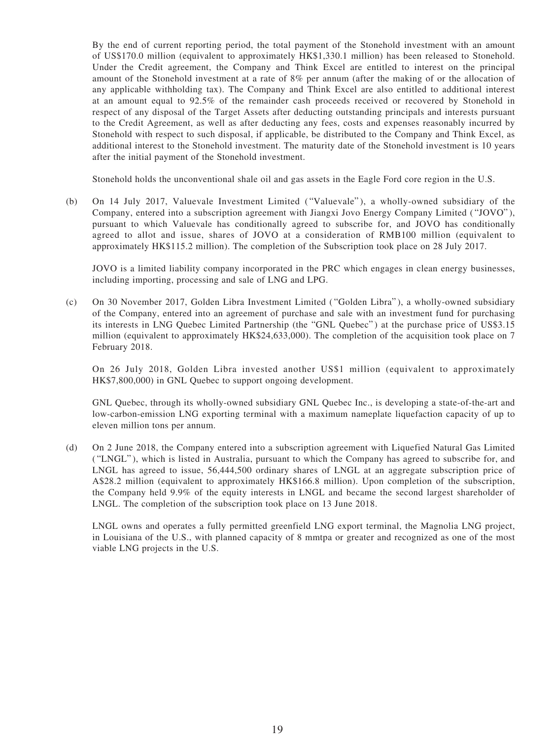By the end of current reporting period, the total payment of the Stonehold investment with an amount of US\$170.0 million (equivalent to approximately HK\$1,330.1 million) has been released to Stonehold. Under the Credit agreement, the Company and Think Excel are entitled to interest on the principal amount of the Stonehold investment at a rate of 8% per annum (after the making of or the allocation of any applicable withholding tax). The Company and Think Excel are also entitled to additional interest at an amount equal to 92.5% of the remainder cash proceeds received or recovered by Stonehold in respect of any disposal of the Target Assets after deducting outstanding principals and interests pursuant to the Credit Agreement, as well as after deducting any fees, costs and expenses reasonably incurred by Stonehold with respect to such disposal, if applicable, be distributed to the Company and Think Excel, as additional interest to the Stonehold investment. The maturity date of the Stonehold investment is 10 years after the initial payment of the Stonehold investment.

Stonehold holds the unconventional shale oil and gas assets in the Eagle Ford core region in the U.S.

(b) On 14 July 2017, Valuevale Investment Limited ("Valuevale"), a wholly-owned subsidiary of the Company, entered into a subscription agreement with Jiangxi Jovo Energy Company Limited ("JOVO"), pursuant to which Valuevale has conditionally agreed to subscribe for, and JOVO has conditionally agreed to allot and issue, shares of JOVO at a consideration of RMB100 million (equivalent to approximately HK\$115.2 million). The completion of the Subscription took place on 28 July 2017.

JOVO is a limited liability company incorporated in the PRC which engages in clean energy businesses, including importing, processing and sale of LNG and LPG.

(c) On 30 November 2017, Golden Libra Investment Limited ( "Golden Libra" ), a wholly-owned subsidiary of the Company, entered into an agreement of purchase and sale with an investment fund for purchasing its interests in LNG Quebec Limited Partnership (the "GNL Quebec" ) at the purchase price of US\$3.15 million (equivalent to approximately HK\$24,633,000). The completion of the acquisition took place on 7 February 2018.

On 26 July 2018, Golden Libra invested another US\$1 million (equivalent to approximately HK\$7,800,000) in GNL Quebec to support ongoing development.

GNL Quebec, through its wholly-owned subsidiary GNL Quebec Inc., is developing a state-of-the-art and low-carbon-emission LNG exporting terminal with a maximum nameplate liquefaction capacity of up to eleven million tons per annum.

(d) On 2 June 2018, the Company entered into a subscription agreement with Liquefied Natural Gas Limited ( "LNGL" ), which is listed in Australia, pursuant to which the Company has agreed to subscribe for, and LNGL has agreed to issue, 56,444,500 ordinary shares of LNGL at an aggregate subscription price of A\$28.2 million (equivalent to approximately HK\$166.8 million). Upon completion of the subscription, the Company held 9.9% of the equity interests in LNGL and became the second largest shareholder of LNGL. The completion of the subscription took place on 13 June 2018.

LNGL owns and operates a fully permitted greenfield LNG export terminal, the Magnolia LNG project, in Louisiana of the U.S., with planned capacity of 8 mmtpa or greater and recognized as one of the most viable LNG projects in the U.S.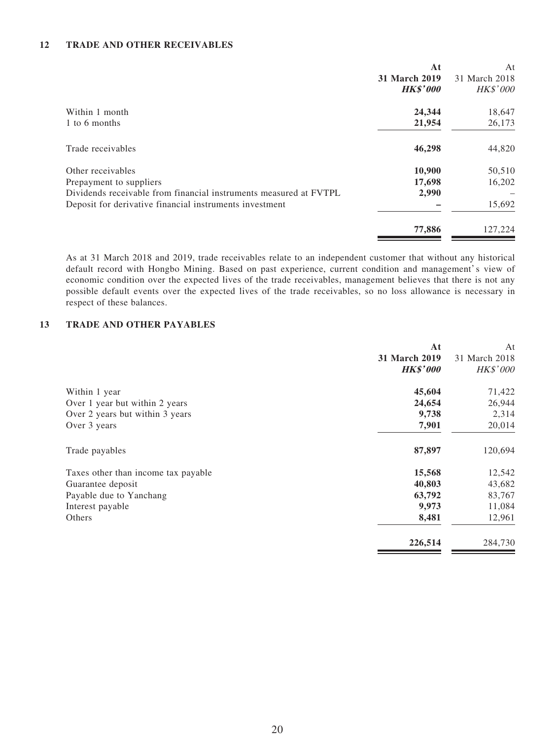#### **12 TRADE AND OTHER RECEIVABLES**

|                                                                                                                                                                              | At<br>31 March 2019<br><b>HK\$'000</b> | At<br>31 March 2018<br>HK\$'000 |
|------------------------------------------------------------------------------------------------------------------------------------------------------------------------------|----------------------------------------|---------------------------------|
| Within 1 month<br>1 to 6 months                                                                                                                                              | 24,344<br>21,954                       | 18,647<br>26,173                |
| Trade receivables                                                                                                                                                            | 46,298                                 | 44,820                          |
| Other receivables<br>Prepayment to suppliers<br>Dividends receivable from financial instruments measured at FVTPL<br>Deposit for derivative financial instruments investment | 10,900<br>17,698<br>2,990              | 50,510<br>16,202<br>15,692      |
|                                                                                                                                                                              | 77,886                                 | 127,224                         |

As at 31 March 2018 and 2019, trade receivables relate to an independent customer that without any historical default record with Hongbo Mining. Based on past experience, current condition and management's view of economic condition over the expected lives of the trade receivables, management believes that there is not any possible default events over the expected lives of the trade receivables, so no loss allowance is necessary in respect of these balances.

#### **13 TRADE AND OTHER PAYABLES**

|                                     | At                   | At              |
|-------------------------------------|----------------------|-----------------|
|                                     | <b>31 March 2019</b> | 31 March 2018   |
|                                     | <b>HK\$'000</b>      | <b>HK\$'000</b> |
| Within 1 year                       | 45,604               | 71,422          |
| Over 1 year but within 2 years      | 24,654               | 26,944          |
| Over 2 years but within 3 years     | 9,738                | 2,314           |
| Over 3 years                        | 7,901                | 20,014          |
| Trade payables                      | 87,897               | 120,694         |
| Taxes other than income tax payable | 15,568               | 12,542          |
| Guarantee deposit                   | 40,803               | 43,682          |
| Payable due to Yanchang             | 63,792               | 83,767          |
| Interest payable                    | 9,973                | 11,084          |
| Others                              | 8,481                | 12,961          |
|                                     | 226,514              | 284,730         |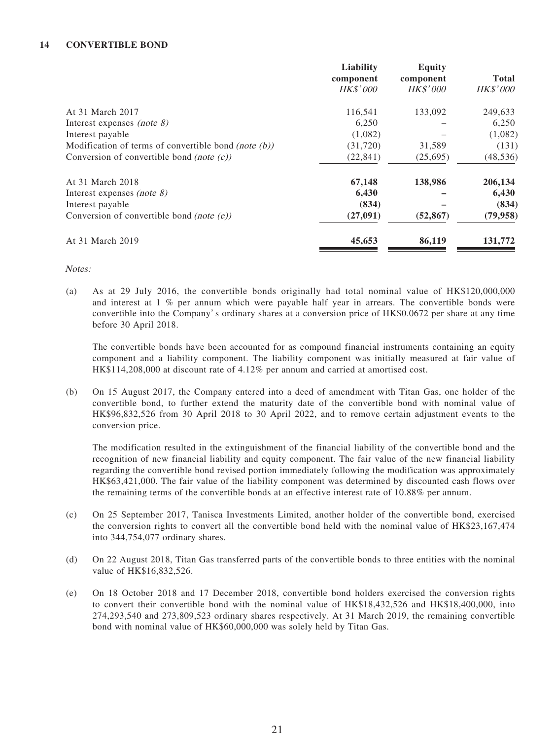#### **14 CONVERTIBLE BOND**

| Liability       | <b>Equity</b>   |                 |
|-----------------|-----------------|-----------------|
| component       | component       | <b>Total</b>    |
| <b>HK\$'000</b> | <b>HK\$'000</b> | <b>HK\$'000</b> |
| 116,541         | 133,092         | 249,633         |
| 6,250           |                 | 6,250           |
| (1,082)         |                 | (1,082)         |
| (31,720)        | 31,589          | (131)           |
| (22, 841)       | (25,695)        | (48, 536)       |
| 67,148          | 138,986         | 206,134         |
| 6,430           |                 | 6,430           |
| (834)           |                 | (834)           |
| (27,091)        | (52, 867)       | (79, 958)       |
| 45,653          | 86,119          | 131,772         |
|                 |                 |                 |

Notes:

(a) As at 29 July 2016, the convertible bonds originally had total nominal value of HK\$120,000,000 and interest at  $1\%$  per annum which were payable half year in arrears. The convertible bonds were convertible into the Company's ordinary shares at a conversion price of HK\$0.0672 per share at any time before 30 April 2018.

The convertible bonds have been accounted for as compound financial instruments containing an equity component and a liability component. The liability component was initially measured at fair value of HK\$114,208,000 at discount rate of 4.12% per annum and carried at amortised cost.

(b) On 15 August 2017, the Company entered into a deed of amendment with Titan Gas, one holder of the convertible bond, to further extend the maturity date of the convertible bond with nominal value of HK\$96,832,526 from 30 April 2018 to 30 April 2022, and to remove certain adjustment events to the conversion price.

The modification resulted in the extinguishment of the financial liability of the convertible bond and the recognition of new financial liability and equity component. The fair value of the new financial liability regarding the convertible bond revised portion immediately following the modification was approximately HK\$63,421,000. The fair value of the liability component was determined by discounted cash flows over the remaining terms of the convertible bonds at an effective interest rate of 10.88% per annum.

- (c) On 25 September 2017, Tanisca Investments Limited, another holder of the convertible bond, exercised the conversion rights to convert all the convertible bond held with the nominal value of HK\$23,167,474 into 344,754,077 ordinary shares.
- (d) On 22 August 2018, Titan Gas transferred parts of the convertible bonds to three entities with the nominal value of HK\$16,832,526.
- (e) On 18 October 2018 and 17 December 2018, convertible bond holders exercised the conversion rights to convert their convertible bond with the nominal value of HK\$18,432,526 and HK\$18,400,000, into 274,293,540 and 273,809,523 ordinary shares respectively. At 31 March 2019, the remaining convertible bond with nominal value of HK\$60,000,000 was solely held by Titan Gas.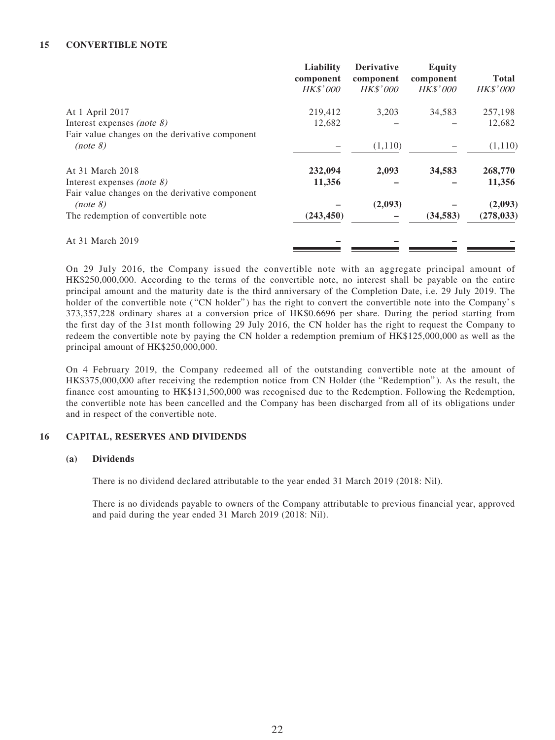#### **15 CONVERTIBLE NOTE**

|                                                | Liability<br>component<br><b>HK\$'000</b> | <b>Derivative</b><br>component<br><i>HK\$'000</i> | <b>Equity</b><br>component<br><i>HK\$'000</i> | <b>Total</b><br><i>HK\$'000</i> |
|------------------------------------------------|-------------------------------------------|---------------------------------------------------|-----------------------------------------------|---------------------------------|
| At 1 April 2017                                | 219,412                                   | 3,203                                             | 34,583                                        | 257,198                         |
| Interest expenses <i>(note 8)</i>              | 12,682                                    |                                                   |                                               | 12,682                          |
| Fair value changes on the derivative component |                                           |                                                   |                                               |                                 |
| (note 8)                                       |                                           | (1,110)                                           |                                               | (1,110)                         |
| At 31 March 2018                               | 232,094                                   | 2,093                                             | 34,583                                        | 268,770                         |
| Interest expenses (note $\delta$ )             | 11,356                                    |                                                   |                                               | 11,356                          |
| Fair value changes on the derivative component |                                           |                                                   |                                               |                                 |
| (note 8)                                       |                                           | (2,093)                                           |                                               | (2,093)                         |
| The redemption of convertible note             | (243, 450)                                |                                                   | (34, 583)                                     | (278, 033)                      |
| At 31 March 2019                               |                                           |                                                   |                                               |                                 |

On 29 July 2016, the Company issued the convertible note with an aggregate principal amount of HK\$250,000,000. According to the terms of the convertible note, no interest shall be payable on the entire principal amount and the maturity date is the third anniversary of the Completion Date, i.e. 29 July 2019. The holder of the convertible note ("CN holder") has the right to convert the convertible note into the Company's 373,357,228 ordinary shares at a conversion price of HK\$0.6696 per share. During the period starting from the first day of the 31st month following 29 July 2016, the CN holder has the right to request the Company to redeem the convertible note by paying the CN holder a redemption premium of HK\$125,000,000 as well as the principal amount of HK\$250,000,000.

On 4 February 2019, the Company redeemed all of the outstanding convertible note at the amount of HK\$375,000,000 after receiving the redemption notice from CN Holder (the "Redemption" ). As the result, the finance cost amounting to HK\$131,500,000 was recognised due to the Redemption. Following the Redemption, the convertible note has been cancelled and the Company has been discharged from all of its obligations under and in respect of the convertible note.

#### **16 CAPITAL, RESERVES AND DIVIDENDS**

#### **(a) Dividends**

There is no dividend declared attributable to the year ended 31 March 2019 (2018: Nil).

There is no dividends payable to owners of the Company attributable to previous financial year, approved and paid during the year ended 31 March 2019 (2018: Nil).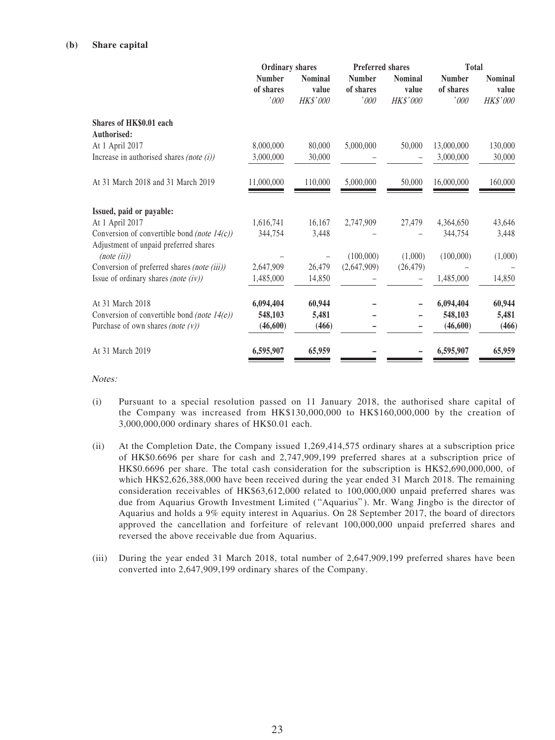#### **(b) Share capital**

|                                                      |                                    | Preferred shares<br><b>Ordinary shares</b> |                                              |                                     |                                    | <b>Total</b>                               |  |
|------------------------------------------------------|------------------------------------|--------------------------------------------|----------------------------------------------|-------------------------------------|------------------------------------|--------------------------------------------|--|
|                                                      | <b>Number</b><br>of shares<br>'000 | <b>Nominal</b><br>value<br><b>HK\$'000</b> | <b>Number</b><br>of shares<br>$^{\prime}000$ | <b>Nominal</b><br>value<br>HK\$'000 | <b>Number</b><br>of shares<br>'000 | <b>Nominal</b><br>value<br><b>HK\$'000</b> |  |
| Shares of HK\$0.01 each<br>Authorised:               |                                    |                                            |                                              |                                     |                                    |                                            |  |
| At 1 April 2017                                      | 8,000,000                          | 80,000                                     | 5,000,000                                    | 50,000                              | 13,000,000                         | 130,000                                    |  |
| Increase in authorised shares (note $(i)$ )          | 3,000,000                          | 30,000                                     |                                              |                                     | 3,000,000                          | 30,000                                     |  |
| At 31 March 2018 and 31 March 2019                   | 11,000,000                         | 110,000                                    | 5,000,000                                    | 50,000                              | 16,000,000                         | 160,000                                    |  |
| Issued, paid or payable:                             |                                    |                                            |                                              |                                     |                                    |                                            |  |
| At 1 April 2017                                      | 1,616,741                          | 16,167                                     | 2,747,909                                    | 27,479                              | 4,364,650                          | 43,646                                     |  |
| Conversion of convertible bond (note $14(c)$ )       | 344,754                            | 3,448                                      |                                              |                                     | 344,754                            | 3,448                                      |  |
| Adjustment of unpaid preferred shares<br>(note (ii)) |                                    |                                            | (100,000)                                    | (1,000)                             | (100,000)                          | (1,000)                                    |  |
| Conversion of preferred shares (note (iii))          | 2,647,909                          | 26,479                                     | (2,647,909)                                  | (26, 479)                           |                                    |                                            |  |
| Issue of ordinary shares (note $(iv)$ )              | 1,485,000                          | 14,850                                     |                                              |                                     | 1,485,000                          | 14,850                                     |  |
| At 31 March 2018                                     | 6,094,404                          | 60,944                                     |                                              |                                     | 6,094,404                          | 60,944                                     |  |
| Conversion of convertible bond (note $14(e)$ )       | 548,103                            | 5,481                                      |                                              |                                     | 548,103                            | 5,481                                      |  |
| Purchase of own shares (note $(v)$ )                 | (46,600)                           | (466)                                      |                                              |                                     | (46,600)                           | (466)                                      |  |
| At 31 March 2019                                     | 6,595,907                          | 65,959                                     |                                              |                                     | 6,595,907                          | 65,959                                     |  |

Notes:

- (i) Pursuant to a special resolution passed on 11 January 2018, the authorised share capital of the Company was increased from HK\$130,000,000 to HK\$160,000,000 by the creation of 3,000,000,000 ordinary shares of HK\$0.01 each.
- (ii) At the Completion Date, the Company issued 1,269,414,575 ordinary shares at a subscription price of HK\$0.6696 per share for cash and 2,747,909,199 preferred shares at a subscription price of HK\$0.6696 per share. The total cash consideration for the subscription is HK\$2,690,000,000, of which HK\$2,626,388,000 have been received during the year ended 31 March 2018. The remaining consideration receivables of HK\$63,612,000 related to 100,000,000 unpaid preferred shares was due from Aquarius Growth Investment Limited ("Aquarius"). Mr. Wang Jingbo is the director of Aquarius and holds a 9% equity interest in Aquarius. On 28 September 2017, the board of directors approved the cancellation and forfeiture of relevant 100,000,000 unpaid preferred shares and reversed the above receivable due from Aquarius.
- (iii) During the year ended 31 March 2018, total number of 2,647,909,199 preferred shares have been converted into 2,647,909,199 ordinary shares of the Company.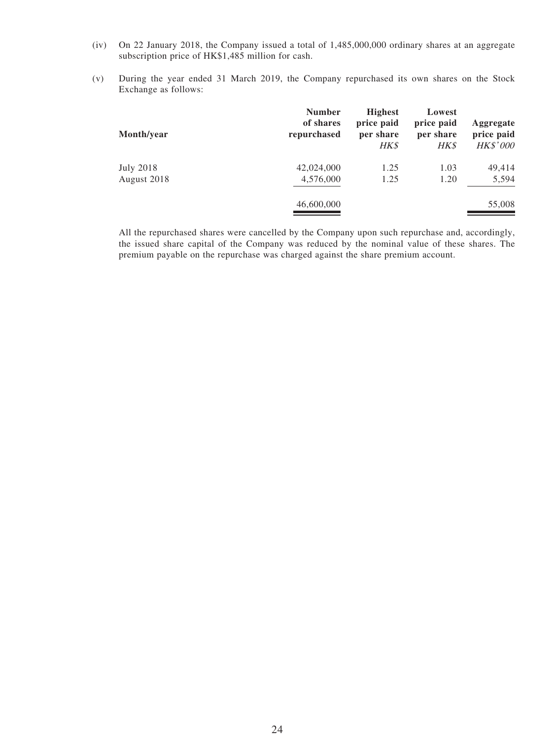- (iv) On 22 January 2018, the Company issued a total of 1,485,000,000 ordinary shares at an aggregate subscription price of HK\$1,485 million for cash.
- (v) During the year ended 31 March 2019, the Company repurchased its own shares on the Stock Exchange as follows:

| Month/year  | <b>Number</b><br>of shares<br>repurchased | <b>Highest</b><br>price paid<br>per share<br>HK\$ | Lowest<br>price paid<br>per share<br><b>HK\$</b> | Aggregate<br>price paid<br><b>HK\$'000</b> |
|-------------|-------------------------------------------|---------------------------------------------------|--------------------------------------------------|--------------------------------------------|
| July 2018   | 42,024,000                                | 1.25                                              | 1.03                                             | 49,414                                     |
| August 2018 | 4,576,000                                 | 1.25                                              | 1.20                                             | 5,594                                      |
|             | 46,600,000                                |                                                   |                                                  | 55,008                                     |

All the repurchased shares were cancelled by the Company upon such repurchase and, accordingly, the issued share capital of the Company was reduced by the nominal value of these shares. The premium payable on the repurchase was charged against the share premium account.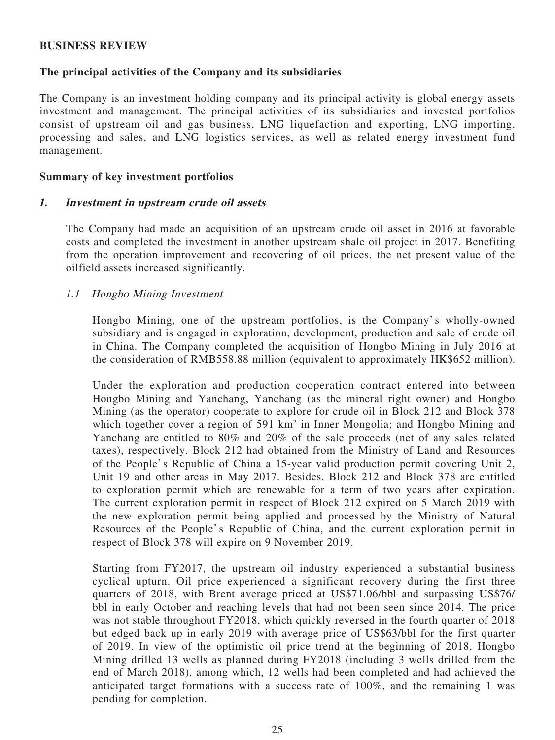### **BUSINESS REVIEW**

### **The principal activities of the Company and its subsidiaries**

The Company is an investment holding company and its principal activity is global energy assets investment and management. The principal activities of its subsidiaries and invested portfolios consist of upstream oil and gas business, LNG liquefaction and exporting, LNG importing, processing and sales, and LNG logistics services, as well as related energy investment fund management.

### **Summary of key investment portfolios**

### **1. Investment in upstream crude oil assets**

The Company had made an acquisition of an upstream crude oil asset in 2016 at favorable costs and completed the investment in another upstream shale oil project in 2017. Benefiting from the operation improvement and recovering of oil prices, the net present value of the oilfield assets increased significantly.

### 1.1 Hongbo Mining Investment

Hongbo Mining, one of the upstream portfolios, is the Company's wholly-owned subsidiary and is engaged in exploration, development, production and sale of crude oil in China. The Company completed the acquisition of Hongbo Mining in July 2016 at the consideration of RMB558.88 million (equivalent to approximately HK\$652 million).

Under the exploration and production cooperation contract entered into between Hongbo Mining and Yanchang, Yanchang (as the mineral right owner) and Hongbo Mining (as the operator) cooperate to explore for crude oil in Block 212 and Block 378 which together cover a region of 591 km<sup>2</sup> in Inner Mongolia; and Hongbo Mining and Yanchang are entitled to 80% and 20% of the sale proceeds (net of any sales related taxes), respectively. Block 212 had obtained from the Ministry of Land and Resources of the People's Republic of China a 15-year valid production permit covering Unit 2, Unit 19 and other areas in May 2017. Besides, Block 212 and Block 378 are entitled to exploration permit which are renewable for a term of two years after expiration. The current exploration permit in respect of Block 212 expired on 5 March 2019 with the new exploration permit being applied and processed by the Ministry of Natural Resources of the People's Republic of China, and the current exploration permit in respect of Block 378 will expire on 9 November 2019.

Starting from FY2017, the upstream oil industry experienced a substantial business cyclical upturn. Oil price experienced a significant recovery during the first three quarters of 2018, with Brent average priced at US\$71.06/bbl and surpassing US\$76/ bbl in early October and reaching levels that had not been seen since 2014. The price was not stable throughout FY2018, which quickly reversed in the fourth quarter of 2018 but edged back up in early 2019 with average price of US\$63/bbl for the first quarter of 2019. In view of the optimistic oil price trend at the beginning of 2018, Hongbo Mining drilled 13 wells as planned during FY2018 (including 3 wells drilled from the end of March 2018), among which, 12 wells had been completed and had achieved the anticipated target formations with a success rate of 100%, and the remaining 1 was pending for completion.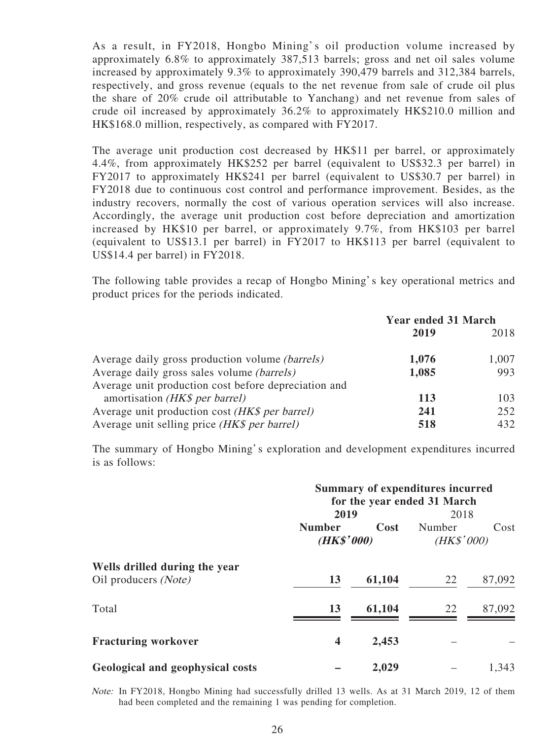As a result, in FY2018, Hongbo Mining's oil production volume increased by approximately 6.8% to approximately 387,513 barrels; gross and net oil sales volume increased by approximately 9.3% to approximately 390,479 barrels and 312,384 barrels, respectively, and gross revenue (equals to the net revenue from sale of crude oil plus the share of 20% crude oil attributable to Yanchang) and net revenue from sales of crude oil increased by approximately 36.2% to approximately HK\$210.0 million and HK\$168.0 million, respectively, as compared with FY2017.

The average unit production cost decreased by HK\$11 per barrel, or approximately 4.4%, from approximately HK\$252 per barrel (equivalent to US\$32.3 per barrel) in FY2017 to approximately HK\$241 per barrel (equivalent to US\$30.7 per barrel) in FY2018 due to continuous cost control and performance improvement. Besides, as the industry recovers, normally the cost of various operation services will also increase. Accordingly, the average unit production cost before depreciation and amortization increased by HK\$10 per barrel, or approximately 9.7%, from HK\$103 per barrel (equivalent to US\$13.1 per barrel) in FY2017 to HK\$113 per barrel (equivalent to US\$14.4 per barrel) in FY2018.

The following table provides a recap of Hongbo Mining's key operational metrics and product prices for the periods indicated.

|                                                      | <b>Year ended 31 March</b> |       |  |
|------------------------------------------------------|----------------------------|-------|--|
|                                                      | 2019                       | 2018  |  |
| Average daily gross production volume (barrels)      | 1,076                      | 1,007 |  |
| Average daily gross sales volume <i>(barrels)</i>    | 1,085                      | 993   |  |
| Average unit production cost before depreciation and |                            |       |  |
| amortisation (HK\$ per barrel)                       | 113                        | 103   |  |
| Average unit production cost (HK\$ per barrel)       | 241                        | 252   |  |
| Average unit selling price (HK\$ per barrel)         | 518                        | 432   |  |

The summary of Hongbo Mining's exploration and development expenditures incurred is as follows:

|                                                       | <b>Summary of expenditures incurred</b><br>for the year ended 31 March |        |                                      |        |  |
|-------------------------------------------------------|------------------------------------------------------------------------|--------|--------------------------------------|--------|--|
|                                                       | 2019<br><b>Number</b><br>Cost<br>(HK\$'000)                            |        | 2018<br>Number<br>Cost<br>(HK\$'000) |        |  |
| Wells drilled during the year<br>Oil producers (Note) | 13                                                                     | 61,104 | 22                                   | 87,092 |  |
| Total                                                 | 13                                                                     | 61,104 | 22                                   | 87,092 |  |
| <b>Fracturing workover</b>                            | 4                                                                      | 2,453  |                                      |        |  |
| Geological and geophysical costs                      |                                                                        | 2,029  |                                      | 1,343  |  |

Note: In FY2018, Hongbo Mining had successfully drilled 13 wells. As at 31 March 2019, 12 of them had been completed and the remaining 1 was pending for completion.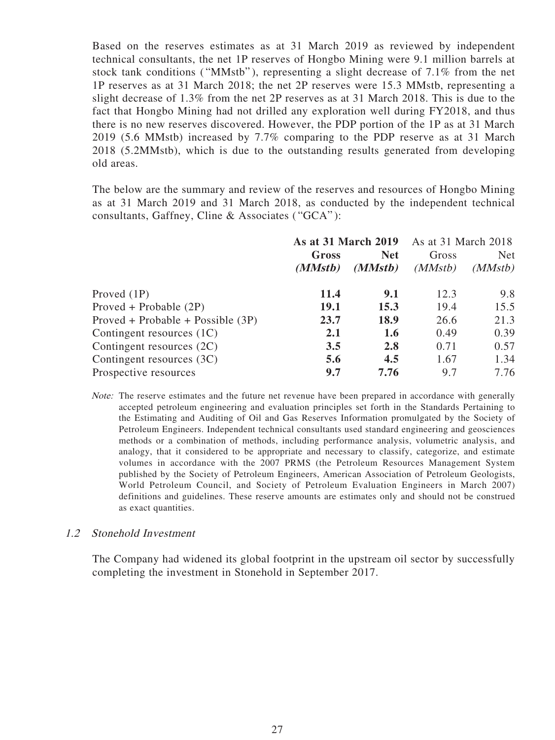Based on the reserves estimates as at 31 March 2019 as reviewed by independent technical consultants, the net 1P reserves of Hongbo Mining were 9.1 million barrels at stock tank conditions ("MMstb"), representing a slight decrease of 7.1% from the net 1P reserves as at 31 March 2018; the net 2P reserves were 15.3 MMstb, representing a slight decrease of 1.3% from the net 2P reserves as at 31 March 2018. This is due to the fact that Hongbo Mining had not drilled any exploration well during FY2018, and thus there is no new reserves discovered. However, the PDP portion of the 1P as at 31 March 2019 (5.6 MMstb) increased by 7.7% comparing to the PDP reserve as at 31 March 2018 (5.2MMstb), which is due to the outstanding results generated from developing old areas.

The below are the summary and review of the reserves and resources of Hongbo Mining as at 31 March 2019 and 31 March 2018, as conducted by the independent technical consultants, Gaffney, Cline & Associates ( "GCA" ):

|                                     | <b>As at 31 March 2019</b> |         | As at 31 March 2018 |            |  |
|-------------------------------------|----------------------------|---------|---------------------|------------|--|
|                                     | <b>Net</b><br>Gross        |         | Gross               | <b>Net</b> |  |
|                                     | (MMstb)                    | (MMstb) | (MMstb)             | (MMstb)    |  |
| Proved (1P)                         | 11.4                       | 9.1     | 12.3                | 9.8        |  |
| Proved + Probable $(2P)$            | 19.1                       | 15.3    | 19.4                | 15.5       |  |
| $Proved + Probable + Possible (3P)$ | 23.7                       | 18.9    | 26.6                | 21.3       |  |
| Contingent resources (1C)           | 2.1                        | 1.6     | 0.49                | 0.39       |  |
| Contingent resources (2C)           | 3.5                        | 2.8     | 0.71                | 0.57       |  |
| Contingent resources (3C)           | 5.6                        | 4.5     | 1.67                | 1.34       |  |
| Prospective resources               | 9.7                        | 7.76    | 9.7                 | 7.76       |  |

Note: The reserve estimates and the future net revenue have been prepared in accordance with generally accepted petroleum engineering and evaluation principles set forth in the Standards Pertaining to the Estimating and Auditing of Oil and Gas Reserves Information promulgated by the Society of Petroleum Engineers. Independent technical consultants used standard engineering and geosciences methods or a combination of methods, including performance analysis, volumetric analysis, and analogy, that it considered to be appropriate and necessary to classify, categorize, and estimate volumes in accordance with the 2007 PRMS (the Petroleum Resources Management System published by the Society of Petroleum Engineers, American Association of Petroleum Geologists, World Petroleum Council, and Society of Petroleum Evaluation Engineers in March 2007) definitions and guidelines. These reserve amounts are estimates only and should not be construed as exact quantities.

### 1.2 Stonehold Investment

The Company had widened its global footprint in the upstream oil sector by successfully completing the investment in Stonehold in September 2017.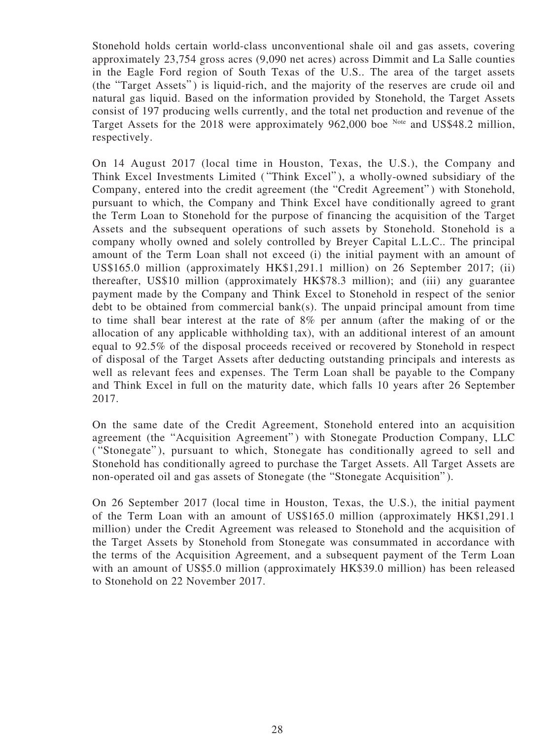Stonehold holds certain world-class unconventional shale oil and gas assets, covering approximately 23,754 gross acres (9,090 net acres) across Dimmit and La Salle counties in the Eagle Ford region of South Texas of the U.S.. The area of the target assets (the "Target Assets") is liquid-rich, and the majority of the reserves are crude oil and natural gas liquid. Based on the information provided by Stonehold, the Target Assets consist of 197 producing wells currently, and the total net production and revenue of the Target Assets for the 2018 were approximately 962,000 boe Note and US\$48.2 million, respectively.

On 14 August 2017 (local time in Houston, Texas, the U.S.), the Company and Think Excel Investments Limited ( "Think Excel" ), a wholly-owned subsidiary of the Company, entered into the credit agreement (the "Credit Agreement" ) with Stonehold, pursuant to which, the Company and Think Excel have conditionally agreed to grant the Term Loan to Stonehold for the purpose of financing the acquisition of the Target Assets and the subsequent operations of such assets by Stonehold. Stonehold is a company wholly owned and solely controlled by Breyer Capital L.L.C.. The principal amount of the Term Loan shall not exceed (i) the initial payment with an amount of US\$165.0 million (approximately HK\$1,291.1 million) on 26 September 2017; (ii) thereafter, US\$10 million (approximately HK\$78.3 million); and (iii) any guarantee payment made by the Company and Think Excel to Stonehold in respect of the senior debt to be obtained from commercial bank(s). The unpaid principal amount from time to time shall bear interest at the rate of 8% per annum (after the making of or the allocation of any applicable withholding tax), with an additional interest of an amount equal to 92.5% of the disposal proceeds received or recovered by Stonehold in respect of disposal of the Target Assets after deducting outstanding principals and interests as well as relevant fees and expenses. The Term Loan shall be payable to the Company and Think Excel in full on the maturity date, which falls 10 years after 26 September 2017.

On the same date of the Credit Agreement, Stonehold entered into an acquisition agreement (the "Acquisition Agreement") with Stonegate Production Company, LLC ( "Stonegate" ), pursuant to which, Stonegate has conditionally agreed to sell and Stonehold has conditionally agreed to purchase the Target Assets. All Target Assets are non-operated oil and gas assets of Stonegate (the "Stonegate Acquisition" ).

On 26 September 2017 (local time in Houston, Texas, the U.S.), the initial payment of the Term Loan with an amount of US\$165.0 million (approximately HK\$1,291.1 million) under the Credit Agreement was released to Stonehold and the acquisition of the Target Assets by Stonehold from Stonegate was consummated in accordance with the terms of the Acquisition Agreement, and a subsequent payment of the Term Loan with an amount of US\$5.0 million (approximately HK\$39.0 million) has been released to Stonehold on 22 November 2017.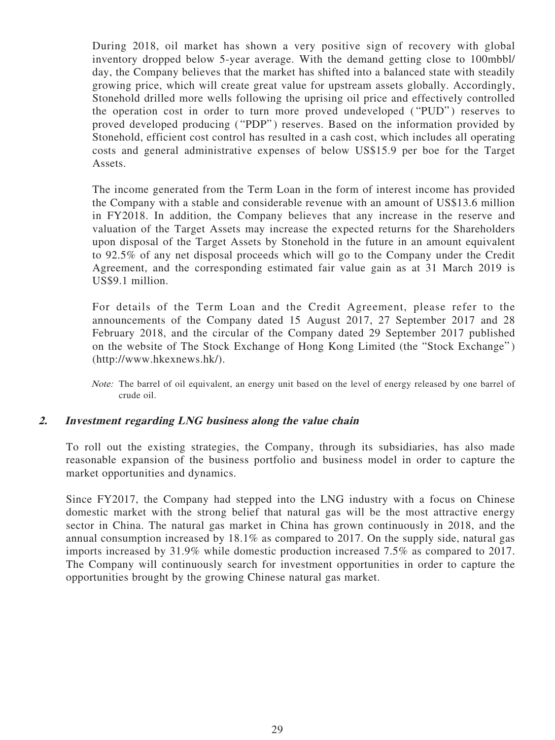During 2018, oil market has shown a very positive sign of recovery with global inventory dropped below 5-year average. With the demand getting close to 100mbbl/ day, the Company believes that the market has shifted into a balanced state with steadily growing price, which will create great value for upstream assets globally. Accordingly, Stonehold drilled more wells following the uprising oil price and effectively controlled the operation cost in order to turn more proved undeveloped ("PUD") reserves to proved developed producing ("PDP") reserves. Based on the information provided by Stonehold, efficient cost control has resulted in a cash cost, which includes all operating costs and general administrative expenses of below US\$15.9 per boe for the Target Assets.

The income generated from the Term Loan in the form of interest income has provided the Company with a stable and considerable revenue with an amount of US\$13.6 million in FY2018. In addition, the Company believes that any increase in the reserve and valuation of the Target Assets may increase the expected returns for the Shareholders upon disposal of the Target Assets by Stonehold in the future in an amount equivalent to 92.5% of any net disposal proceeds which will go to the Company under the Credit Agreement, and the corresponding estimated fair value gain as at 31 March 2019 is US\$9.1 million.

For details of the Term Loan and the Credit Agreement, please refer to the announcements of the Company dated 15 August 2017, 27 September 2017 and 28 February 2018, and the circular of the Company dated 29 September 2017 published on the website of The Stock Exchange of Hong Kong Limited (the "Stock Exchange" ) (http://www.hkexnews.hk/).

Note: The barrel of oil equivalent, an energy unit based on the level of energy released by one barrel of crude oil.

### **2. Investment regarding LNG business along the value chain**

To roll out the existing strategies, the Company, through its subsidiaries, has also made reasonable expansion of the business portfolio and business model in order to capture the market opportunities and dynamics.

Since FY2017, the Company had stepped into the LNG industry with a focus on Chinese domestic market with the strong belief that natural gas will be the most attractive energy sector in China. The natural gas market in China has grown continuously in 2018, and the annual consumption increased by 18.1% as compared to 2017. On the supply side, natural gas imports increased by 31.9% while domestic production increased 7.5% as compared to 2017. The Company will continuously search for investment opportunities in order to capture the opportunities brought by the growing Chinese natural gas market.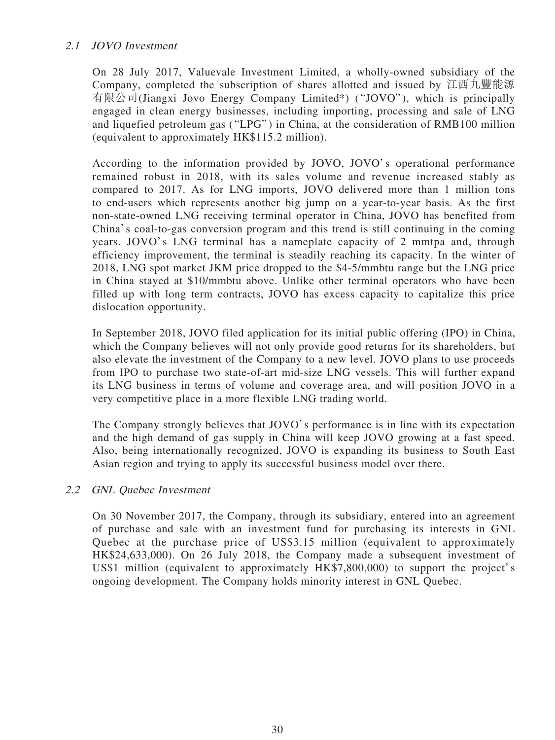# 2.1 JOVO Investment

On 28 July 2017, Valuevale Investment Limited, a wholly-owned subsidiary of the Company, completed the subscription of shares allotted and issued by 江西九豐能源 有限公司(Jiangxi Jovo Energy Company Limited\*) ( "JOVO" ), which is principally engaged in clean energy businesses, including importing, processing and sale of LNG and liquefied petroleum gas ( "LPG" ) in China, at the consideration of RMB100 million (equivalent to approximately HK\$115.2 million).

According to the information provided by JOVO, JOVO's operational performance remained robust in 2018, with its sales volume and revenue increased stably as compared to 2017. As for LNG imports, JOVO delivered more than 1 million tons to end-users which represents another big jump on a year-to-year basis. As the first non-state-owned LNG receiving terminal operator in China, JOVO has benefited from China's coal-to-gas conversion program and this trend is still continuing in the coming years. JOVO's LNG terminal has a nameplate capacity of 2 mmtpa and, through efficiency improvement, the terminal is steadily reaching its capacity. In the winter of 2018, LNG spot market JKM price dropped to the \$4-5/mmbtu range but the LNG price in China stayed at \$10/mmbtu above. Unlike other terminal operators who have been filled up with long term contracts, JOVO has excess capacity to capitalize this price dislocation opportunity.

In September 2018, JOVO filed application for its initial public offering (IPO) in China, which the Company believes will not only provide good returns for its shareholders, but also elevate the investment of the Company to a new level. JOVO plans to use proceeds from IPO to purchase two state-of-art mid-size LNG vessels. This will further expand its LNG business in terms of volume and coverage area, and will position JOVO in a very competitive place in a more flexible LNG trading world.

The Company strongly believes that JOVO's performance is in line with its expectation and the high demand of gas supply in China will keep JOVO growing at a fast speed. Also, being internationally recognized, JOVO is expanding its business to South East Asian region and trying to apply its successful business model over there.

# 2.2 GNL Quebec Investment

On 30 November 2017, the Company, through its subsidiary, entered into an agreement of purchase and sale with an investment fund for purchasing its interests in GNL Quebec at the purchase price of US\$3.15 million (equivalent to approximately HK\$24,633,000). On 26 July 2018, the Company made a subsequent investment of US\$1 million (equivalent to approximately HK\$7,800,000) to support the project's ongoing development. The Company holds minority interest in GNL Quebec.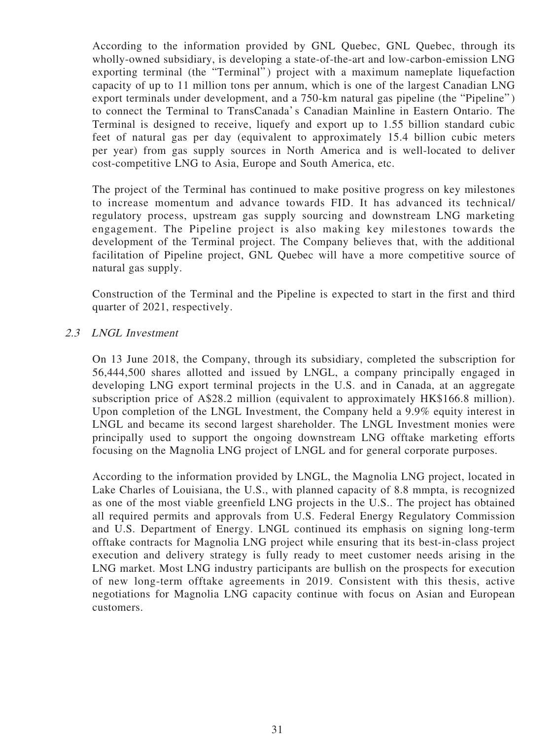According to the information provided by GNL Quebec, GNL Quebec, through its wholly-owned subsidiary, is developing a state-of-the-art and low-carbon-emission LNG exporting terminal (the "Terminal") project with a maximum nameplate liquefaction capacity of up to 11 million tons per annum, which is one of the largest Canadian LNG export terminals under development, and a 750-km natural gas pipeline (the "Pipeline") to connect the Terminal to TransCanada's Canadian Mainline in Eastern Ontario. The Terminal is designed to receive, liquefy and export up to 1.55 billion standard cubic feet of natural gas per day (equivalent to approximately 15.4 billion cubic meters per year) from gas supply sources in North America and is well-located to deliver cost-competitive LNG to Asia, Europe and South America, etc.

The project of the Terminal has continued to make positive progress on key milestones to increase momentum and advance towards FID. It has advanced its technical/ regulatory process, upstream gas supply sourcing and downstream LNG marketing engagement. The Pipeline project is also making key milestones towards the development of the Terminal project. The Company believes that, with the additional facilitation of Pipeline project, GNL Quebec will have a more competitive source of natural gas supply.

Construction of the Terminal and the Pipeline is expected to start in the first and third quarter of 2021, respectively.

### 2.3 LNGL Investment

On 13 June 2018, the Company, through its subsidiary, completed the subscription for 56,444,500 shares allotted and issued by LNGL, a company principally engaged in developing LNG export terminal projects in the U.S. and in Canada, at an aggregate subscription price of A\$28.2 million (equivalent to approximately HK\$166.8 million). Upon completion of the LNGL Investment, the Company held a 9.9% equity interest in LNGL and became its second largest shareholder. The LNGL Investment monies were principally used to support the ongoing downstream LNG offtake marketing efforts focusing on the Magnolia LNG project of LNGL and for general corporate purposes.

According to the information provided by LNGL, the Magnolia LNG project, located in Lake Charles of Louisiana, the U.S., with planned capacity of 8.8 mmpta, is recognized as one of the most viable greenfield LNG projects in the U.S.. The project has obtained all required permits and approvals from U.S. Federal Energy Regulatory Commission and U.S. Department of Energy. LNGL continued its emphasis on signing long-term offtake contracts for Magnolia LNG project while ensuring that its best-in-class project execution and delivery strategy is fully ready to meet customer needs arising in the LNG market. Most LNG industry participants are bullish on the prospects for execution of new long-term offtake agreements in 2019. Consistent with this thesis, active negotiations for Magnolia LNG capacity continue with focus on Asian and European customers.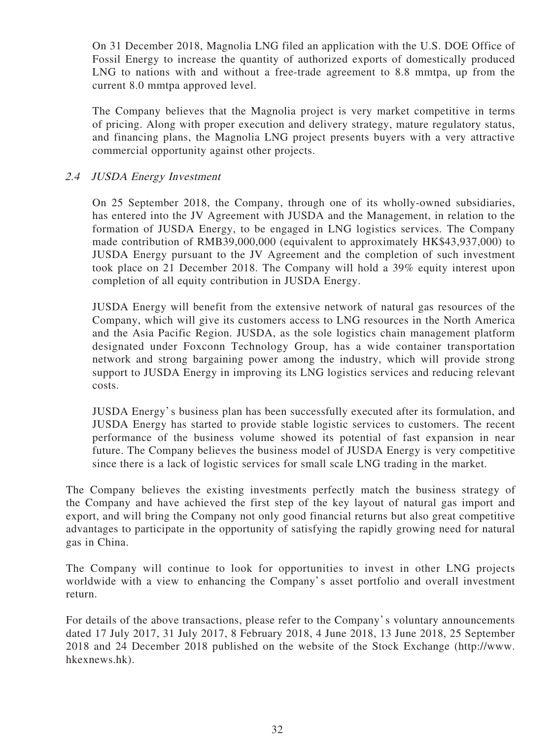On 31 December 2018, Magnolia LNG filed an application with the U.S. DOE Office of Fossil Energy to increase the quantity of authorized exports of domestically produced LNG to nations with and without a free-trade agreement to 8.8 mmtpa, up from the current 8.0 mmtpa approved level.

The Company believes that the Magnolia project is very market competitive in terms of pricing. Along with proper execution and delivery strategy, mature regulatory status, and financing plans, the Magnolia LNG project presents buyers with a very attractive commercial opportunity against other projects.

# 2.4 JUSDA Energy Investment

On 25 September 2018, the Company, through one of its wholly-owned subsidiaries, has entered into the JV Agreement with JUSDA and the Management, in relation to the formation of JUSDA Energy, to be engaged in LNG logistics services. The Company made contribution of RMB39,000,000 (equivalent to approximately HK\$43,937,000) to JUSDA Energy pursuant to the JV Agreement and the completion of such investment took place on 21 December 2018. The Company will hold a 39% equity interest upon completion of all equity contribution in JUSDA Energy.

JUSDA Energy will benefit from the extensive network of natural gas resources of the Company, which will give its customers access to LNG resources in the North America and the Asia Pacific Region. JUSDA, as the sole logistics chain management platform designated under Foxconn Technology Group, has a wide container transportation network and strong bargaining power among the industry, which will provide strong support to JUSDA Energy in improving its LNG logistics services and reducing relevant costs.

JUSDA Energy's business plan has been successfully executed after its formulation, and JUSDA Energy has started to provide stable logistic services to customers. The recent performance of the business volume showed its potential of fast expansion in near future. The Company believes the business model of JUSDA Energy is very competitive since there is a lack of logistic services for small scale LNG trading in the market.

The Company believes the existing investments perfectly match the business strategy of the Company and have achieved the first step of the key layout of natural gas import and export, and will bring the Company not only good financial returns but also great competitive advantages to participate in the opportunity of satisfying the rapidly growing need for natural gas in China.

The Company will continue to look for opportunities to invest in other LNG projects worldwide with a view to enhancing the Company's asset portfolio and overall investment return.

For details of the above transactions, please refer to the Company's voluntary announcements dated 17 July 2017, 31 July 2017, 8 February 2018, 4 June 2018, 13 June 2018, 25 September 2018 and 24 December 2018 published on the website of the Stock Exchange (http://www. hkexnews.hk).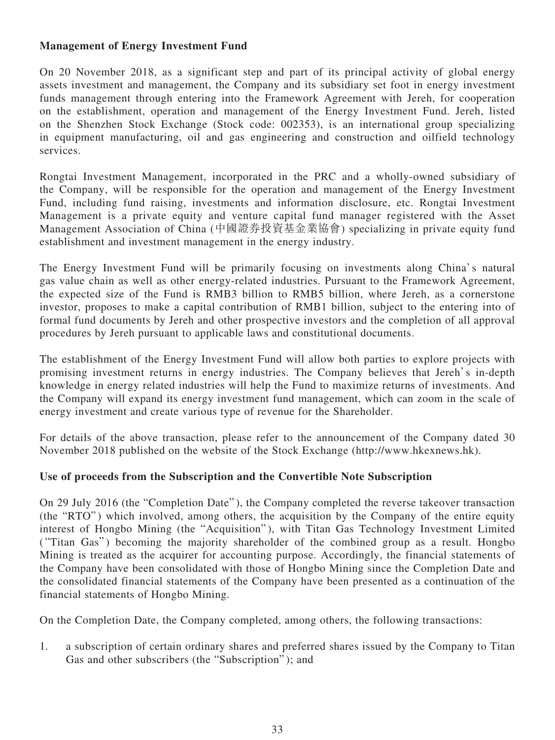# **Management of Energy Investment Fund**

On 20 November 2018, as a significant step and part of its principal activity of global energy assets investment and management, the Company and its subsidiary set foot in energy investment funds management through entering into the Framework Agreement with Jereh, for cooperation on the establishment, operation and management of the Energy Investment Fund. Jereh, listed on the Shenzhen Stock Exchange (Stock code: 002353), is an international group specializing in equipment manufacturing, oil and gas engineering and construction and oilfield technology services.

Rongtai Investment Management, incorporated in the PRC and a wholly-owned subsidiary of the Company, will be responsible for the operation and management of the Energy Investment Fund, including fund raising, investments and information disclosure, etc. Rongtai Investment Management is a private equity and venture capital fund manager registered with the Asset Management Association of China (中國證券投資基金業協會) specializing in private equity fund establishment and investment management in the energy industry.

The Energy Investment Fund will be primarily focusing on investments along China's natural gas value chain as well as other energy-related industries. Pursuant to the Framework Agreement, the expected size of the Fund is RMB3 billion to RMB5 billion, where Jereh, as a cornerstone investor, proposes to make a capital contribution of RMB1 billion, subject to the entering into of formal fund documents by Jereh and other prospective investors and the completion of all approval procedures by Jereh pursuant to applicable laws and constitutional documents.

The establishment of the Energy Investment Fund will allow both parties to explore projects with promising investment returns in energy industries. The Company believes that Jereh's in-depth knowledge in energy related industries will help the Fund to maximize returns of investments. And the Company will expand its energy investment fund management, which can zoom in the scale of energy investment and create various type of revenue for the Shareholder.

For details of the above transaction, please refer to the announcement of the Company dated 30 November 2018 published on the website of the Stock Exchange (http://www.hkexnews.hk).

# **Use of proceeds from the Subscription and the Convertible Note Subscription**

On 29 July 2016 (the "Completion Date" ), the Company completed the reverse takeover transaction (the "RTO") which involved, among others, the acquisition by the Company of the entire equity interest of Hongbo Mining (the "Acquisition"), with Titan Gas Technology Investment Limited ("Titan Gas") becoming the majority shareholder of the combined group as a result. Hongbo Mining is treated as the acquirer for accounting purpose. Accordingly, the financial statements of the Company have been consolidated with those of Hongbo Mining since the Completion Date and the consolidated financial statements of the Company have been presented as a continuation of the financial statements of Hongbo Mining.

On the Completion Date, the Company completed, among others, the following transactions:

1. a subscription of certain ordinary shares and preferred shares issued by the Company to Titan Gas and other subscribers (the "Subscription" ); and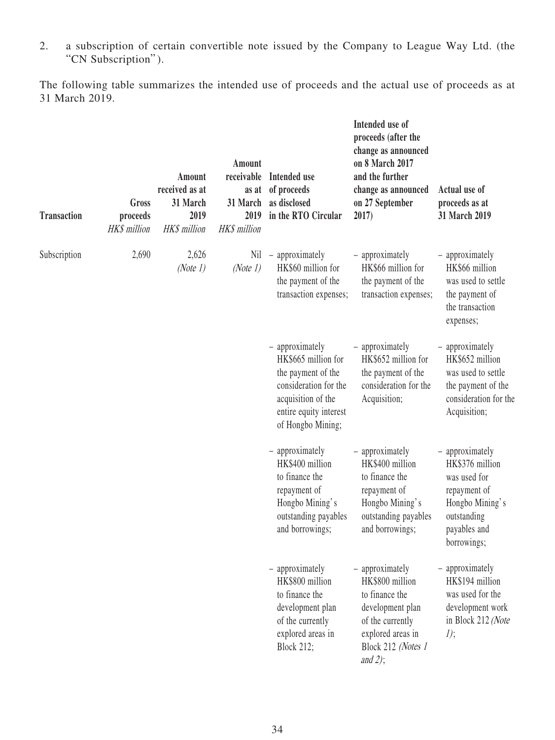2. a subscription of certain convertible note issued by the Company to League Way Ltd. (the "CN Subscription").

The following table summarizes the intended use of proceeds and the actual use of proceeds as at 31 March 2019.

| <b>Transaction</b> | Gross<br>proceeds<br>HK\$ million | Amount<br>received as at<br>31 March<br>2019<br>HK\$ million | Amount<br>receivable<br>as at<br>31 March<br>2019<br><b>HK\$</b> million                                                                                   | Intended use<br>of proceeds<br>as disclosed<br>in the RTO Circular                                                                     | Intended use of<br>proceeds (after the<br>change as announced<br>on 8 March 2017<br>and the further<br>change as announced<br>on 27 September<br>2017) | Actual use of<br>proceeds as at<br>31 March 2019                                                                                    |
|--------------------|-----------------------------------|--------------------------------------------------------------|------------------------------------------------------------------------------------------------------------------------------------------------------------|----------------------------------------------------------------------------------------------------------------------------------------|--------------------------------------------------------------------------------------------------------------------------------------------------------|-------------------------------------------------------------------------------------------------------------------------------------|
| Subscription       | 2,690                             | 2,626<br>(Note $1$ )                                         | Nil<br>(Note 1)                                                                                                                                            | - approximately<br>HK\$60 million for<br>the payment of the<br>transaction expenses;                                                   | - approximately<br>HK\$66 million for<br>the payment of the<br>transaction expenses;                                                                   | - approximately<br>HK\$66 million<br>was used to settle<br>the payment of<br>the transaction<br>expenses;                           |
|                    |                                   |                                                              | - approximately<br>HK\$665 million for<br>the payment of the<br>consideration for the<br>acquisition of the<br>entire equity interest<br>of Hongbo Mining; | - approximately<br>HK\$652 million for<br>the payment of the<br>consideration for the<br>Acquisition;                                  | - approximately<br>HK\$652 million<br>was used to settle<br>the payment of the<br>consideration for the<br>Acquisition;                                |                                                                                                                                     |
|                    |                                   |                                                              |                                                                                                                                                            | - approximately<br>HK\$400 million<br>to finance the<br>repayment of<br>Hongbo Mining's<br>outstanding payables<br>and borrowings;     | - approximately<br>HK\$400 million<br>to finance the<br>repayment of<br>Hongbo Mining's<br>outstanding payables<br>and borrowings;                     | - approximately<br>HK\$376 million<br>was used for<br>repayment of<br>Hongbo Mining's<br>outstanding<br>payables and<br>borrowings; |
|                    |                                   |                                                              |                                                                                                                                                            | - approximately<br>HK\$800 million<br>to finance the<br>development plan<br>of the currently<br>explored areas in<br><b>Block 212;</b> | - approximately<br>HK\$800 million<br>to finance the<br>development plan<br>of the currently<br>explored areas in<br>Block 212 (Notes 1<br>and $2$ );  | - approximately<br>HK\$194 million<br>was used for the<br>development work<br>in Block 212 (Note<br>$1$ );                          |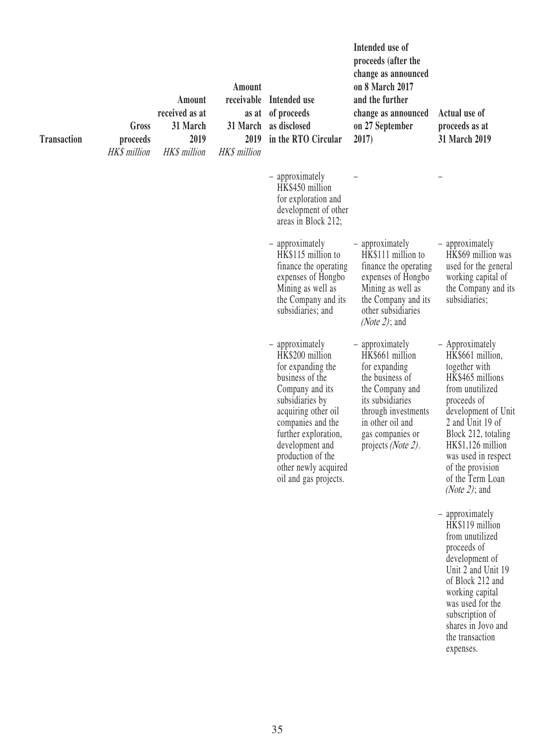| <b>Transaction</b> | Gross<br>proceeds<br>HK\$ million | Amount<br>received as at<br>31 March<br>2019<br>HK\$ million | Amount<br>2019<br><b>HK\$</b> million | receivable Intended use<br>as at of proceeds<br>31 March as disclosed<br>in the RTO Circular                                                                                                                                                                                  | Intended use of<br>proceeds (after the<br>change as announced<br>on 8 March 2017<br>and the further<br>change as announced<br>on 27 September<br>2017)                                                     | Actual use of<br>proceeds as at<br>31 March 2019                                                                                                                                                                                                                                           |
|--------------------|-----------------------------------|--------------------------------------------------------------|---------------------------------------|-------------------------------------------------------------------------------------------------------------------------------------------------------------------------------------------------------------------------------------------------------------------------------|------------------------------------------------------------------------------------------------------------------------------------------------------------------------------------------------------------|--------------------------------------------------------------------------------------------------------------------------------------------------------------------------------------------------------------------------------------------------------------------------------------------|
|                    |                                   |                                                              |                                       | - approximately<br>HK\$450 million<br>for exploration and<br>development of other<br>areas in Block 212;                                                                                                                                                                      |                                                                                                                                                                                                            |                                                                                                                                                                                                                                                                                            |
|                    |                                   |                                                              |                                       | - approximately<br>HK\$115 million to<br>finance the operating<br>expenses of Hongbo<br>Mining as well as<br>the Company and its<br>subsidiaries; and                                                                                                                         | - approximately<br>HK\$111 million to<br>finance the operating<br>expenses of Hongbo<br>Mining as well as<br>the Company and its<br>other subsidiaries<br>( <i>Note 2</i> ); and                           | - approximately<br>HK\$69 million was<br>used for the general<br>working capital of<br>the Company and its<br>subsidiaries;                                                                                                                                                                |
|                    |                                   |                                                              |                                       | - approximately<br>HK\$200 million<br>for expanding the<br>business of the<br>Company and its<br>subsidiaries by<br>acquiring other oil<br>companies and the<br>further exploration,<br>development and<br>production of the<br>other newly acquired<br>oil and gas projects. | - approximately<br>HK\$661 million<br>for expanding<br>the business of<br>the Company and<br>its subsidiaries<br>through investments<br>in other oil and<br>gas companies or<br>projects <i>(Note 2)</i> . | - Approximately<br>HK\$661 million,<br>together with<br>HK\$465 millions<br>from unutilized<br>proceeds of<br>development of Unit<br>2 and Unit 19 of<br>Block 212, totaling<br>HK\$1,126 million<br>was used in respect<br>of the provision<br>of the Term Loan<br>( <i>Note 2</i> ); and |
|                    |                                   |                                                              |                                       |                                                                                                                                                                                                                                                                               |                                                                                                                                                                                                            | - approximately<br>HK\$119 million<br>from unutilized<br>proceeds of<br>development of<br>Unit 2 and Unit 19<br>of Block 212 and<br>working capital<br>was used for the<br>subscription of<br>shares in Jovo and<br>the transaction<br>expenses.                                           |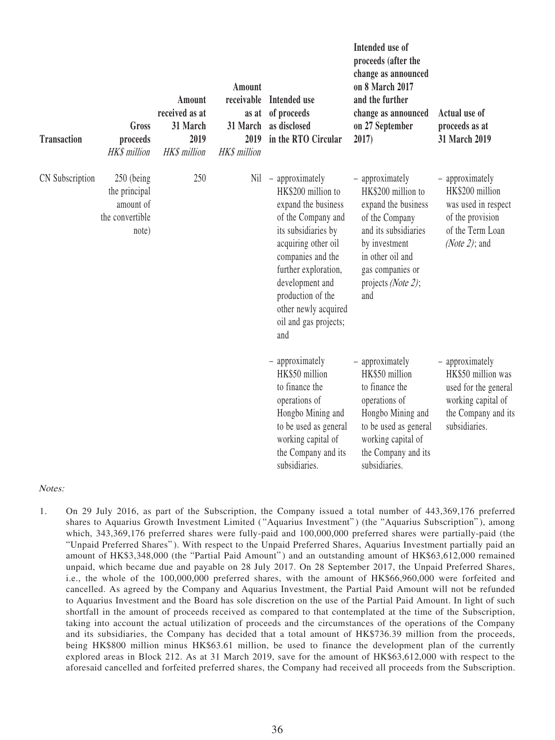| <b>Transaction</b> | Gross<br>proceeds<br><b>HK\$</b> million                             | Amount<br>received as at<br>31 March<br>2019<br><b>HK\$</b> million | Amount<br>receivable<br>as at<br>31 March<br>2019<br><b>HK\$</b> million | Intended use<br>of proceeds<br>as disclosed<br>in the RTO Circular                                                                                                                                                                                                            | Intended use of<br>proceeds (after the<br>change as announced<br>on 8 March 2017<br>and the further<br>change as announced<br>on 27 September<br>2017)                                                | Actual use of<br>proceeds as at<br>31 March 2019                                                                            |
|--------------------|----------------------------------------------------------------------|---------------------------------------------------------------------|--------------------------------------------------------------------------|-------------------------------------------------------------------------------------------------------------------------------------------------------------------------------------------------------------------------------------------------------------------------------|-------------------------------------------------------------------------------------------------------------------------------------------------------------------------------------------------------|-----------------------------------------------------------------------------------------------------------------------------|
| CN Subscription    | 250 (being<br>the principal<br>amount of<br>the convertible<br>note) | 250                                                                 | Nil                                                                      | - approximately<br>HK\$200 million to<br>expand the business<br>of the Company and<br>its subsidiaries by<br>acquiring other oil<br>companies and the<br>further exploration,<br>development and<br>production of the<br>other newly acquired<br>oil and gas projects;<br>and | - approximately<br>HK\$200 million to<br>expand the business<br>of the Company<br>and its subsidiaries<br>by investment<br>in other oil and<br>gas companies or<br>projects ( <i>Note 2</i> );<br>and | - approximately<br>HK\$200 million<br>was used in respect<br>of the provision<br>of the Term Loan<br>(Note 2); and          |
|                    |                                                                      |                                                                     |                                                                          | - approximately<br>HK\$50 million<br>to finance the<br>operations of<br>Hongbo Mining and<br>to be used as general<br>working capital of<br>the Company and its<br>subsidiaries.                                                                                              | - approximately<br>HK\$50 million<br>to finance the<br>operations of<br>Hongbo Mining and<br>to be used as general<br>working capital of<br>the Company and its<br>subsidiaries.                      | - approximately<br>HK\$50 million was<br>used for the general<br>working capital of<br>the Company and its<br>subsidiaries. |

Notes:

1. On 29 July 2016, as part of the Subscription, the Company issued a total number of 443,369,176 preferred shares to Aquarius Growth Investment Limited ("Aquarius Investment") (the "Aquarius Subscription"), among which, 343,369,176 preferred shares were fully-paid and 100,000,000 preferred shares were partially-paid (the "Unpaid Preferred Shares" ). With respect to the Unpaid Preferred Shares, Aquarius Investment partially paid an amount of HK\$3,348,000 (the "Partial Paid Amount") and an outstanding amount of HK\$63,612,000 remained unpaid, which became due and payable on 28 July 2017. On 28 September 2017, the Unpaid Preferred Shares, i.e., the whole of the 100,000,000 preferred shares, with the amount of HK\$66,960,000 were forfeited and cancelled. As agreed by the Company and Aquarius Investment, the Partial Paid Amount will not be refunded to Aquarius Investment and the Board has sole discretion on the use of the Partial Paid Amount. In light of such shortfall in the amount of proceeds received as compared to that contemplated at the time of the Subscription, taking into account the actual utilization of proceeds and the circumstances of the operations of the Company and its subsidiaries, the Company has decided that a total amount of HK\$736.39 million from the proceeds, being HK\$800 million minus HK\$63.61 million, be used to finance the development plan of the currently explored areas in Block 212. As at 31 March 2019, save for the amount of HK\$63,612,000 with respect to the aforesaid cancelled and forfeited preferred shares, the Company had received all proceeds from the Subscription.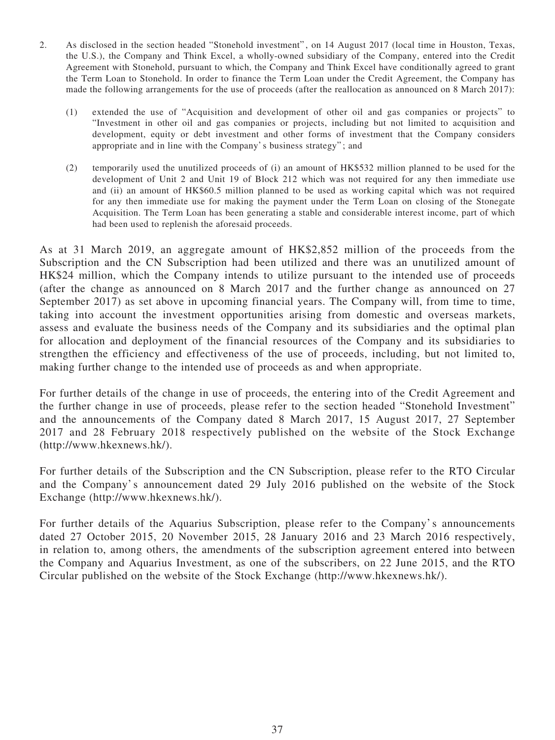- 2. As disclosed in the section headed "Stonehold investment" , on 14 August 2017 (local time in Houston, Texas, the U.S.), the Company and Think Excel, a wholly-owned subsidiary of the Company, entered into the Credit Agreement with Stonehold, pursuant to which, the Company and Think Excel have conditionally agreed to grant the Term Loan to Stonehold. In order to finance the Term Loan under the Credit Agreement, the Company has made the following arrangements for the use of proceeds (after the reallocation as announced on 8 March 2017):
	- (1) extended the use of "Acquisition and development of other oil and gas companies or projects" to "Investment in other oil and gas companies or projects, including but not limited to acquisition and development, equity or debt investment and other forms of investment that the Company considers appropriate and in line with the Company's business strategy" ; and
	- (2) temporarily used the unutilized proceeds of (i) an amount of HK\$532 million planned to be used for the development of Unit 2 and Unit 19 of Block 212 which was not required for any then immediate use and (ii) an amount of HK\$60.5 million planned to be used as working capital which was not required for any then immediate use for making the payment under the Term Loan on closing of the Stonegate Acquisition. The Term Loan has been generating a stable and considerable interest income, part of which had been used to replenish the aforesaid proceeds.

As at 31 March 2019, an aggregate amount of HK\$2,852 million of the proceeds from the Subscription and the CN Subscription had been utilized and there was an unutilized amount of HK\$24 million, which the Company intends to utilize pursuant to the intended use of proceeds (after the change as announced on 8 March 2017 and the further change as announced on 27 September 2017) as set above in upcoming financial years. The Company will, from time to time, taking into account the investment opportunities arising from domestic and overseas markets, assess and evaluate the business needs of the Company and its subsidiaries and the optimal plan for allocation and deployment of the financial resources of the Company and its subsidiaries to strengthen the efficiency and effectiveness of the use of proceeds, including, but not limited to, making further change to the intended use of proceeds as and when appropriate.

For further details of the change in use of proceeds, the entering into of the Credit Agreement and the further change in use of proceeds, please refer to the section headed "Stonehold Investment" and the announcements of the Company dated 8 March 2017, 15 August 2017, 27 September 2017 and 28 February 2018 respectively published on the website of the Stock Exchange (http://www.hkexnews.hk/).

For further details of the Subscription and the CN Subscription, please refer to the RTO Circular and the Company's announcement dated 29 July 2016 published on the website of the Stock Exchange (http://www.hkexnews.hk/).

For further details of the Aquarius Subscription, please refer to the Company's announcements dated 27 October 2015, 20 November 2015, 28 January 2016 and 23 March 2016 respectively, in relation to, among others, the amendments of the subscription agreement entered into between the Company and Aquarius Investment, as one of the subscribers, on 22 June 2015, and the RTO Circular published on the website of the Stock Exchange (http://www.hkexnews.hk/).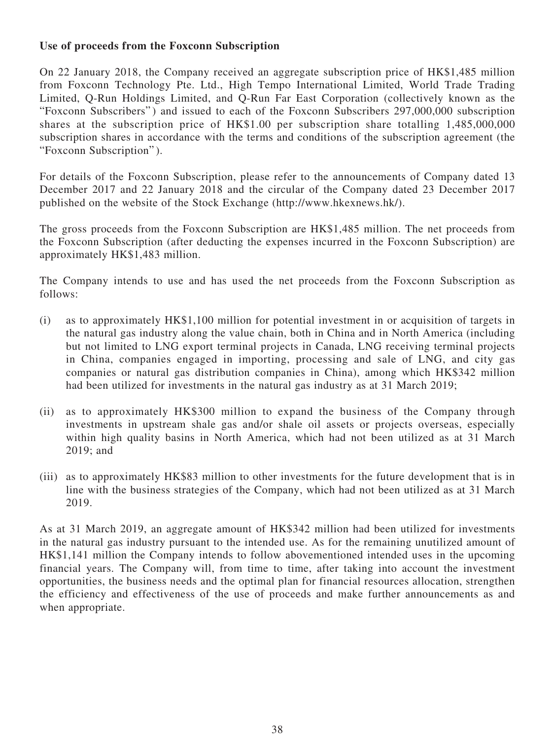# **Use of proceeds from the Foxconn Subscription**

On 22 January 2018, the Company received an aggregate subscription price of HK\$1,485 million from Foxconn Technology Pte. Ltd., High Tempo International Limited, World Trade Trading Limited, Q-Run Holdings Limited, and Q-Run Far East Corporation (collectively known as the "Foxconn Subscribers" ) and issued to each of the Foxconn Subscribers 297,000,000 subscription shares at the subscription price of HK\$1.00 per subscription share totalling 1,485,000,000 subscription shares in accordance with the terms and conditions of the subscription agreement (the "Foxconn Subscription" ).

For details of the Foxconn Subscription, please refer to the announcements of Company dated 13 December 2017 and 22 January 2018 and the circular of the Company dated 23 December 2017 published on the website of the Stock Exchange (http://www.hkexnews.hk/).

The gross proceeds from the Foxconn Subscription are HK\$1,485 million. The net proceeds from the Foxconn Subscription (after deducting the expenses incurred in the Foxconn Subscription) are approximately HK\$1,483 million.

The Company intends to use and has used the net proceeds from the Foxconn Subscription as follows:

- (i) as to approximately HK\$1,100 million for potential investment in or acquisition of targets in the natural gas industry along the value chain, both in China and in North America (including but not limited to LNG export terminal projects in Canada, LNG receiving terminal projects in China, companies engaged in importing, processing and sale of LNG, and city gas companies or natural gas distribution companies in China), among which HK\$342 million had been utilized for investments in the natural gas industry as at 31 March 2019;
- (ii) as to approximately HK\$300 million to expand the business of the Company through investments in upstream shale gas and/or shale oil assets or projects overseas, especially within high quality basins in North America, which had not been utilized as at 31 March 2019; and
- (iii) as to approximately HK\$83 million to other investments for the future development that is in line with the business strategies of the Company, which had not been utilized as at 31 March 2019.

As at 31 March 2019, an aggregate amount of HK\$342 million had been utilized for investments in the natural gas industry pursuant to the intended use. As for the remaining unutilized amount of HK\$1,141 million the Company intends to follow abovementioned intended uses in the upcoming financial years. The Company will, from time to time, after taking into account the investment opportunities, the business needs and the optimal plan for financial resources allocation, strengthen the efficiency and effectiveness of the use of proceeds and make further announcements as and when appropriate.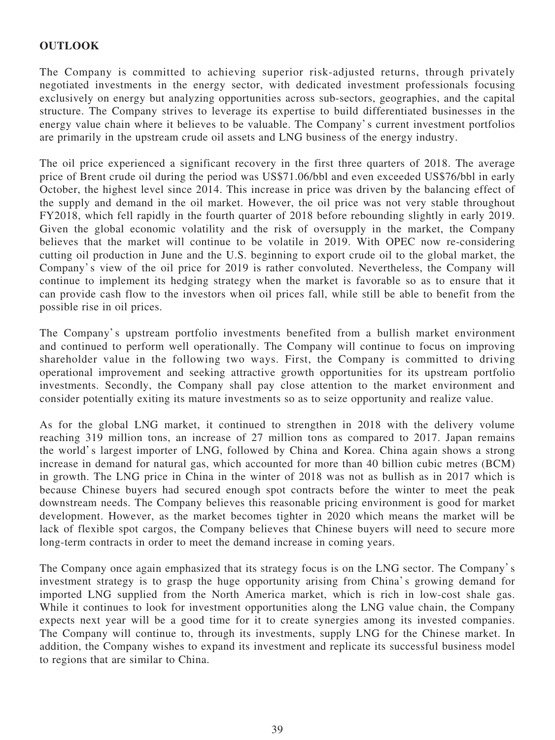# **OUTLOOK**

The Company is committed to achieving superior risk-adjusted returns, through privately negotiated investments in the energy sector, with dedicated investment professionals focusing exclusively on energy but analyzing opportunities across sub-sectors, geographies, and the capital structure. The Company strives to leverage its expertise to build differentiated businesses in the energy value chain where it believes to be valuable. The Company's current investment portfolios are primarily in the upstream crude oil assets and LNG business of the energy industry.

The oil price experienced a significant recovery in the first three quarters of 2018. The average price of Brent crude oil during the period was US\$71.06/bbl and even exceeded US\$76/bbl in early October, the highest level since 2014. This increase in price was driven by the balancing effect of the supply and demand in the oil market. However, the oil price was not very stable throughout FY2018, which fell rapidly in the fourth quarter of 2018 before rebounding slightly in early 2019. Given the global economic volatility and the risk of oversupply in the market, the Company believes that the market will continue to be volatile in 2019. With OPEC now re-considering cutting oil production in June and the U.S. beginning to export crude oil to the global market, the Company's view of the oil price for 2019 is rather convoluted. Nevertheless, the Company will continue to implement its hedging strategy when the market is favorable so as to ensure that it can provide cash flow to the investors when oil prices fall, while still be able to benefit from the possible rise in oil prices.

The Company's upstream portfolio investments benefited from a bullish market environment and continued to perform well operationally. The Company will continue to focus on improving shareholder value in the following two ways. First, the Company is committed to driving operational improvement and seeking attractive growth opportunities for its upstream portfolio investments. Secondly, the Company shall pay close attention to the market environment and consider potentially exiting its mature investments so as to seize opportunity and realize value.

As for the global LNG market, it continued to strengthen in 2018 with the delivery volume reaching 319 million tons, an increase of 27 million tons as compared to 2017. Japan remains the world's largest importer of LNG, followed by China and Korea. China again shows a strong increase in demand for natural gas, which accounted for more than 40 billion cubic metres (BCM) in growth. The LNG price in China in the winter of 2018 was not as bullish as in 2017 which is because Chinese buyers had secured enough spot contracts before the winter to meet the peak downstream needs. The Company believes this reasonable pricing environment is good for market development. However, as the market becomes tighter in 2020 which means the market will be lack of flexible spot cargos, the Company believes that Chinese buyers will need to secure more long-term contracts in order to meet the demand increase in coming years.

The Company once again emphasized that its strategy focus is on the LNG sector. The Company's investment strategy is to grasp the huge opportunity arising from China's growing demand for imported LNG supplied from the North America market, which is rich in low-cost shale gas. While it continues to look for investment opportunities along the LNG value chain, the Company expects next year will be a good time for it to create synergies among its invested companies. The Company will continue to, through its investments, supply LNG for the Chinese market. In addition, the Company wishes to expand its investment and replicate its successful business model to regions that are similar to China.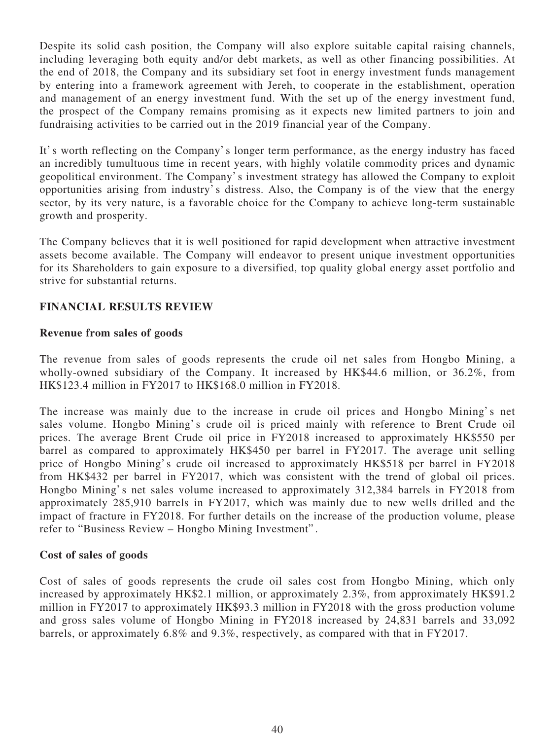Despite its solid cash position, the Company will also explore suitable capital raising channels, including leveraging both equity and/or debt markets, as well as other financing possibilities. At the end of 2018, the Company and its subsidiary set foot in energy investment funds management by entering into a framework agreement with Jereh, to cooperate in the establishment, operation and management of an energy investment fund. With the set up of the energy investment fund, the prospect of the Company remains promising as it expects new limited partners to join and fundraising activities to be carried out in the 2019 financial year of the Company.

It's worth reflecting on the Company's longer term performance, as the energy industry has faced an incredibly tumultuous time in recent years, with highly volatile commodity prices and dynamic geopolitical environment. The Company's investment strategy has allowed the Company to exploit opportunities arising from industry's distress. Also, the Company is of the view that the energy sector, by its very nature, is a favorable choice for the Company to achieve long-term sustainable growth and prosperity.

The Company believes that it is well positioned for rapid development when attractive investment assets become available. The Company will endeavor to present unique investment opportunities for its Shareholders to gain exposure to a diversified, top quality global energy asset portfolio and strive for substantial returns.

# **FINANCIAL RESULTS REVIEW**

# **Revenue from sales of goods**

The revenue from sales of goods represents the crude oil net sales from Hongbo Mining, a wholly-owned subsidiary of the Company. It increased by HK\$44.6 million, or 36.2%, from HK\$123.4 million in FY2017 to HK\$168.0 million in FY2018.

The increase was mainly due to the increase in crude oil prices and Hongbo Mining's net sales volume. Hongbo Mining's crude oil is priced mainly with reference to Brent Crude oil prices. The average Brent Crude oil price in FY2018 increased to approximately HK\$550 per barrel as compared to approximately HK\$450 per barrel in FY2017. The average unit selling price of Hongbo Mining's crude oil increased to approximately HK\$518 per barrel in FY2018 from HK\$432 per barrel in FY2017, which was consistent with the trend of global oil prices. Hongbo Mining's net sales volume increased to approximately 312,384 barrels in FY2018 from approximately 285,910 barrels in FY2017, which was mainly due to new wells drilled and the impact of fracture in FY2018. For further details on the increase of the production volume, please refer to "Business Review – Hongbo Mining Investment" .

# **Cost of sales of goods**

Cost of sales of goods represents the crude oil sales cost from Hongbo Mining, which only increased by approximately HK\$2.1 million, or approximately 2.3%, from approximately HK\$91.2 million in FY2017 to approximately HK\$93.3 million in FY2018 with the gross production volume and gross sales volume of Hongbo Mining in FY2018 increased by 24,831 barrels and 33,092 barrels, or approximately 6.8% and 9.3%, respectively, as compared with that in FY2017.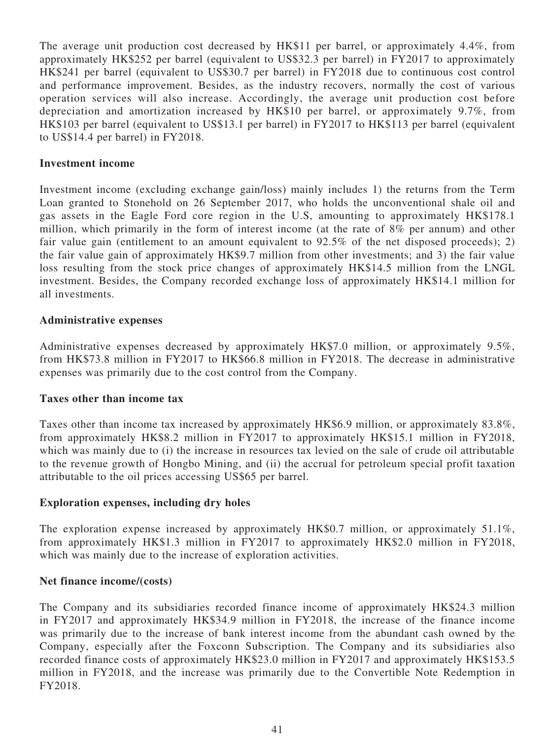The average unit production cost decreased by HK\$11 per barrel, or approximately 4.4%, from approximately HK\$252 per barrel (equivalent to US\$32.3 per barrel) in FY2017 to approximately HK\$241 per barrel (equivalent to US\$30.7 per barrel) in FY2018 due to continuous cost control and performance improvement. Besides, as the industry recovers, normally the cost of various operation services will also increase. Accordingly, the average unit production cost before depreciation and amortization increased by HK\$10 per barrel, or approximately 9.7%, from HK\$103 per barrel (equivalent to US\$13.1 per barrel) in FY2017 to HK\$113 per barrel (equivalent to US\$14.4 per barrel) in FY2018.

### **Investment income**

Investment income (excluding exchange gain/loss) mainly includes 1) the returns from the Term Loan granted to Stonehold on 26 September 2017, who holds the unconventional shale oil and gas assets in the Eagle Ford core region in the U.S, amounting to approximately HK\$178.1 million, which primarily in the form of interest income (at the rate of 8% per annum) and other fair value gain (entitlement to an amount equivalent to 92.5% of the net disposed proceeds); 2) the fair value gain of approximately HK\$9.7 million from other investments; and 3) the fair value loss resulting from the stock price changes of approximately HK\$14.5 million from the LNGL investment. Besides, the Company recorded exchange loss of approximately HK\$14.1 million for all investments.

### **Administrative expenses**

Administrative expenses decreased by approximately HK\$7.0 million, or approximately 9.5%, from HK\$73.8 million in FY2017 to HK\$66.8 million in FY2018. The decrease in administrative expenses was primarily due to the cost control from the Company.

### **Taxes other than income tax**

Taxes other than income tax increased by approximately HK\$6.9 million, or approximately 83.8%, from approximately HK\$8.2 million in FY2017 to approximately HK\$15.1 million in FY2018, which was mainly due to (i) the increase in resources tax levied on the sale of crude oil attributable to the revenue growth of Hongbo Mining, and (ii) the accrual for petroleum special profit taxation attributable to the oil prices accessing US\$65 per barrel.

# **Exploration expenses, including dry holes**

The exploration expense increased by approximately HK\$0.7 million, or approximately 51.1%, from approximately HK\$1.3 million in FY2017 to approximately HK\$2.0 million in FY2018, which was mainly due to the increase of exploration activities.

### **Net finance income/(costs)**

The Company and its subsidiaries recorded finance income of approximately HK\$24.3 million in FY2017 and approximately HK\$34.9 million in FY2018, the increase of the finance income was primarily due to the increase of bank interest income from the abundant cash owned by the Company, especially after the Foxconn Subscription. The Company and its subsidiaries also recorded finance costs of approximately HK\$23.0 million in FY2017 and approximately HK\$153.5 million in FY2018, and the increase was primarily due to the Convertible Note Redemption in FY2018.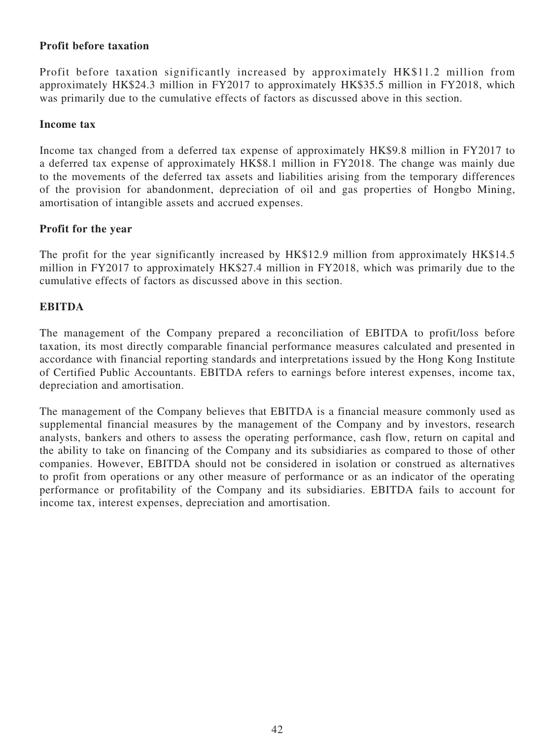# **Profit before taxation**

Profit before taxation significantly increased by approximately HK\$11.2 million from approximately HK\$24.3 million in FY2017 to approximately HK\$35.5 million in FY2018, which was primarily due to the cumulative effects of factors as discussed above in this section.

### **Income tax**

Income tax changed from a deferred tax expense of approximately HK\$9.8 million in FY2017 to a deferred tax expense of approximately HK\$8.1 million in FY2018. The change was mainly due to the movements of the deferred tax assets and liabilities arising from the temporary differences of the provision for abandonment, depreciation of oil and gas properties of Hongbo Mining, amortisation of intangible assets and accrued expenses.

### **Profit for the year**

The profit for the year significantly increased by HK\$12.9 million from approximately HK\$14.5 million in FY2017 to approximately HK\$27.4 million in FY2018, which was primarily due to the cumulative effects of factors as discussed above in this section.

# **EBITDA**

The management of the Company prepared a reconciliation of EBITDA to profit/loss before taxation, its most directly comparable financial performance measures calculated and presented in accordance with financial reporting standards and interpretations issued by the Hong Kong Institute of Certified Public Accountants. EBITDA refers to earnings before interest expenses, income tax, depreciation and amortisation.

The management of the Company believes that EBITDA is a financial measure commonly used as supplemental financial measures by the management of the Company and by investors, research analysts, bankers and others to assess the operating performance, cash flow, return on capital and the ability to take on financing of the Company and its subsidiaries as compared to those of other companies. However, EBITDA should not be considered in isolation or construed as alternatives to profit from operations or any other measure of performance or as an indicator of the operating performance or profitability of the Company and its subsidiaries. EBITDA fails to account for income tax, interest expenses, depreciation and amortisation.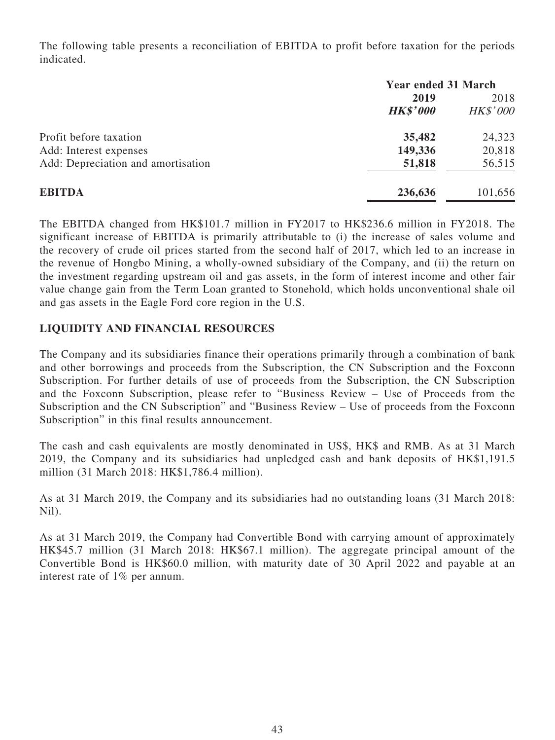The following table presents a reconciliation of EBITDA to profit before taxation for the periods indicated.

|                                    | <b>Year ended 31 March</b> |                 |  |
|------------------------------------|----------------------------|-----------------|--|
|                                    | 2019                       | 2018            |  |
|                                    | <b>HK\$'000</b>            | <b>HK\$'000</b> |  |
| Profit before taxation             | 35,482                     | 24,323          |  |
| Add: Interest expenses             | 149,336                    | 20,818          |  |
| Add: Depreciation and amortisation | 51,818                     | 56,515          |  |
| <b>EBITDA</b>                      | 236,636                    | 101,656         |  |

The EBITDA changed from HK\$101.7 million in FY2017 to HK\$236.6 million in FY2018. The significant increase of EBITDA is primarily attributable to (i) the increase of sales volume and the recovery of crude oil prices started from the second half of 2017, which led to an increase in the revenue of Hongbo Mining, a wholly-owned subsidiary of the Company, and (ii) the return on the investment regarding upstream oil and gas assets, in the form of interest income and other fair value change gain from the Term Loan granted to Stonehold, which holds unconventional shale oil and gas assets in the Eagle Ford core region in the U.S.

# **LIQUIDITY AND FINANCIAL RESOURCES**

The Company and its subsidiaries finance their operations primarily through a combination of bank and other borrowings and proceeds from the Subscription, the CN Subscription and the Foxconn Subscription. For further details of use of proceeds from the Subscription, the CN Subscription and the Foxconn Subscription, please refer to "Business Review – Use of Proceeds from the Subscription and the CN Subscription" and "Business Review – Use of proceeds from the Foxconn Subscription" in this final results announcement.

The cash and cash equivalents are mostly denominated in US\$, HK\$ and RMB. As at 31 March 2019, the Company and its subsidiaries had unpledged cash and bank deposits of HK\$1,191.5 million (31 March 2018: HK\$1,786.4 million).

As at 31 March 2019, the Company and its subsidiaries had no outstanding loans (31 March 2018: Nil).

As at 31 March 2019, the Company had Convertible Bond with carrying amount of approximately HK\$45.7 million (31 March 2018: HK\$67.1 million). The aggregate principal amount of the Convertible Bond is HK\$60.0 million, with maturity date of 30 April 2022 and payable at an interest rate of 1% per annum.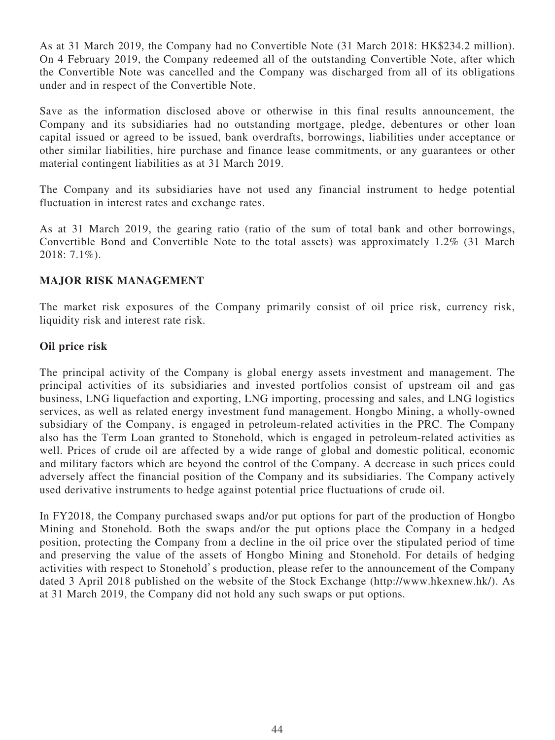As at 31 March 2019, the Company had no Convertible Note (31 March 2018: HK\$234.2 million). On 4 February 2019, the Company redeemed all of the outstanding Convertible Note, after which the Convertible Note was cancelled and the Company was discharged from all of its obligations under and in respect of the Convertible Note.

Save as the information disclosed above or otherwise in this final results announcement, the Company and its subsidiaries had no outstanding mortgage, pledge, debentures or other loan capital issued or agreed to be issued, bank overdrafts, borrowings, liabilities under acceptance or other similar liabilities, hire purchase and finance lease commitments, or any guarantees or other material contingent liabilities as at 31 March 2019.

The Company and its subsidiaries have not used any financial instrument to hedge potential fluctuation in interest rates and exchange rates.

As at 31 March 2019, the gearing ratio (ratio of the sum of total bank and other borrowings, Convertible Bond and Convertible Note to the total assets) was approximately 1.2% (31 March 2018: 7.1%).

### **MAJOR RISK MANAGEMENT**

The market risk exposures of the Company primarily consist of oil price risk, currency risk, liquidity risk and interest rate risk.

### **Oil price risk**

The principal activity of the Company is global energy assets investment and management. The principal activities of its subsidiaries and invested portfolios consist of upstream oil and gas business, LNG liquefaction and exporting, LNG importing, processing and sales, and LNG logistics services, as well as related energy investment fund management. Hongbo Mining, a wholly-owned subsidiary of the Company, is engaged in petroleum-related activities in the PRC. The Company also has the Term Loan granted to Stonehold, which is engaged in petroleum-related activities as well. Prices of crude oil are affected by a wide range of global and domestic political, economic and military factors which are beyond the control of the Company. A decrease in such prices could adversely affect the financial position of the Company and its subsidiaries. The Company actively used derivative instruments to hedge against potential price fluctuations of crude oil.

In FY2018, the Company purchased swaps and/or put options for part of the production of Hongbo Mining and Stonehold. Both the swaps and/or the put options place the Company in a hedged position, protecting the Company from a decline in the oil price over the stipulated period of time and preserving the value of the assets of Hongbo Mining and Stonehold. For details of hedging activities with respect to Stonehold's production, please refer to the announcement of the Company dated 3 April 2018 published on the website of the Stock Exchange (http://www.hkexnew.hk/). As at 31 March 2019, the Company did not hold any such swaps or put options.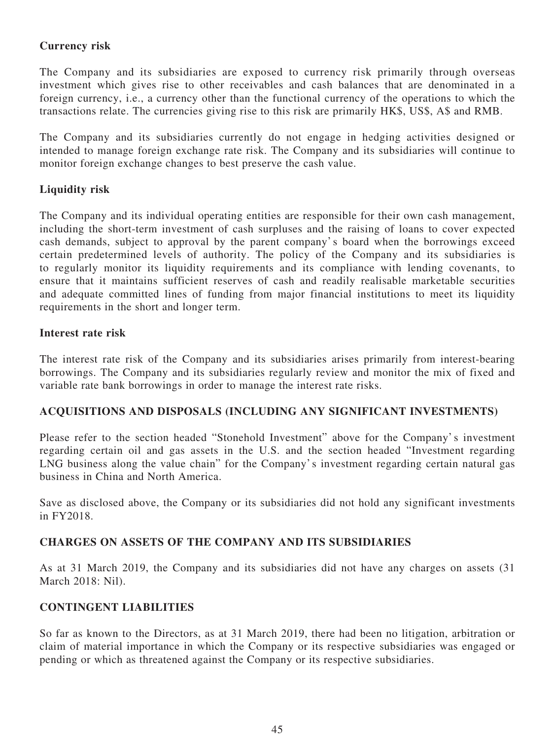# **Currency risk**

The Company and its subsidiaries are exposed to currency risk primarily through overseas investment which gives rise to other receivables and cash balances that are denominated in a foreign currency, i.e., a currency other than the functional currency of the operations to which the transactions relate. The currencies giving rise to this risk are primarily HK\$, US\$, A\$ and RMB.

The Company and its subsidiaries currently do not engage in hedging activities designed or intended to manage foreign exchange rate risk. The Company and its subsidiaries will continue to monitor foreign exchange changes to best preserve the cash value.

# **Liquidity risk**

The Company and its individual operating entities are responsible for their own cash management, including the short-term investment of cash surpluses and the raising of loans to cover expected cash demands, subject to approval by the parent company's board when the borrowings exceed certain predetermined levels of authority. The policy of the Company and its subsidiaries is to regularly monitor its liquidity requirements and its compliance with lending covenants, to ensure that it maintains sufficient reserves of cash and readily realisable marketable securities and adequate committed lines of funding from major financial institutions to meet its liquidity requirements in the short and longer term.

### **Interest rate risk**

The interest rate risk of the Company and its subsidiaries arises primarily from interest-bearing borrowings. The Company and its subsidiaries regularly review and monitor the mix of fixed and variable rate bank borrowings in order to manage the interest rate risks.

# **ACQUISITIONS AND DISPOSALS (INCLUDING ANY SIGNIFICANT INVESTMENTS)**

Please refer to the section headed "Stonehold Investment" above for the Company's investment regarding certain oil and gas assets in the U.S. and the section headed "Investment regarding LNG business along the value chain" for the Company's investment regarding certain natural gas business in China and North America.

Save as disclosed above, the Company or its subsidiaries did not hold any significant investments in FY2018.

# **CHARGES ON ASSETS OF THE COMPANY AND ITS SUBSIDIARIES**

As at 31 March 2019, the Company and its subsidiaries did not have any charges on assets (31 March 2018: Nil).

### **CONTINGENT LIABILITIES**

So far as known to the Directors, as at 31 March 2019, there had been no litigation, arbitration or claim of material importance in which the Company or its respective subsidiaries was engaged or pending or which as threatened against the Company or its respective subsidiaries.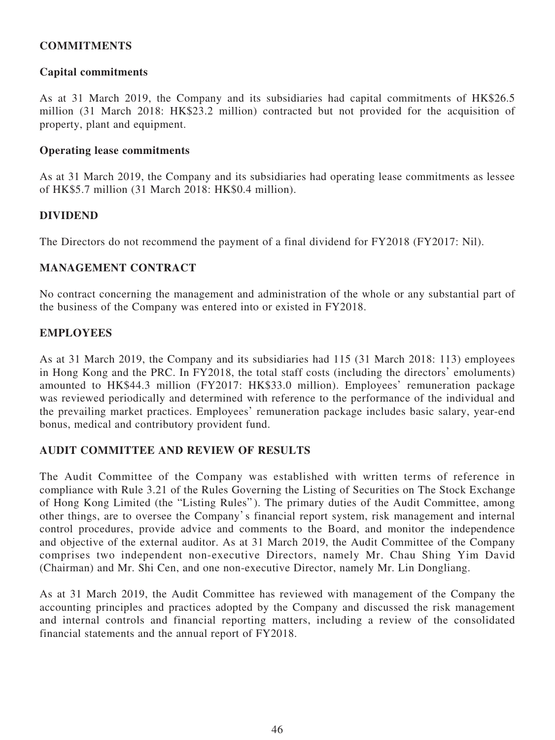# **COMMITMENTS**

### **Capital commitments**

As at 31 March 2019, the Company and its subsidiaries had capital commitments of HK\$26.5 million (31 March 2018: HK\$23.2 million) contracted but not provided for the acquisition of property, plant and equipment.

### **Operating lease commitments**

As at 31 March 2019, the Company and its subsidiaries had operating lease commitments as lessee of HK\$5.7 million (31 March 2018: HK\$0.4 million).

### **DIVIDEND**

The Directors do not recommend the payment of a final dividend for FY2018 (FY2017: Nil).

### **MANAGEMENT CONTRACT**

No contract concerning the management and administration of the whole or any substantial part of the business of the Company was entered into or existed in FY2018.

### **EMPLOYEES**

As at 31 March 2019, the Company and its subsidiaries had 115 (31 March 2018: 113) employees in Hong Kong and the PRC. In FY2018, the total staff costs (including the directors' emoluments) amounted to HK\$44.3 million (FY2017: HK\$33.0 million). Employees' remuneration package was reviewed periodically and determined with reference to the performance of the individual and the prevailing market practices. Employees' remuneration package includes basic salary, year-end bonus, medical and contributory provident fund.

### **AUDIT COMMITTEE AND REVIEW OF RESULTS**

The Audit Committee of the Company was established with written terms of reference in compliance with Rule 3.21 of the Rules Governing the Listing of Securities on The Stock Exchange of Hong Kong Limited (the "Listing Rules"). The primary duties of the Audit Committee, among other things, are to oversee the Company's financial report system, risk management and internal control procedures, provide advice and comments to the Board, and monitor the independence and objective of the external auditor. As at 31 March 2019, the Audit Committee of the Company comprises two independent non-executive Directors, namely Mr. Chau Shing Yim David (Chairman) and Mr. Shi Cen, and one non-executive Director, namely Mr. Lin Dongliang.

As at 31 March 2019, the Audit Committee has reviewed with management of the Company the accounting principles and practices adopted by the Company and discussed the risk management and internal controls and financial reporting matters, including a review of the consolidated financial statements and the annual report of FY2018.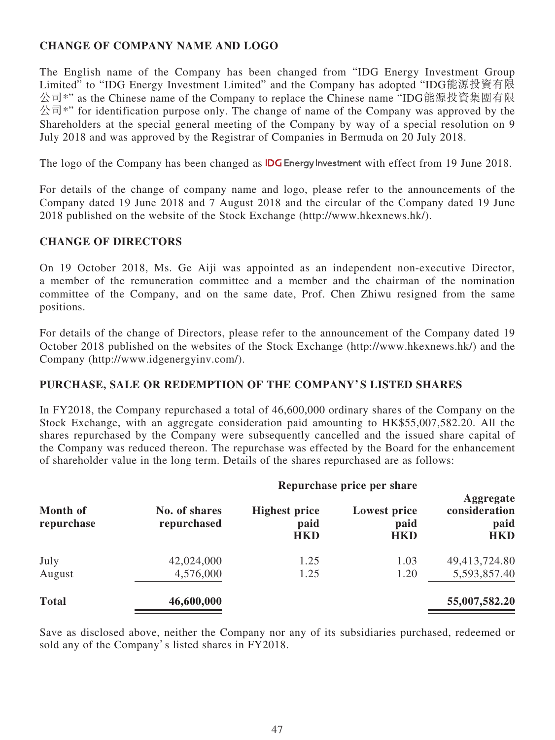# **CHANGE OF COMPANY NAME AND LOGO**

The English name of the Company has been changed from "IDG Energy Investment Group Limited" to "IDG Energy Investment Limited" and the Company has adopted "IDG能源投資有限 公司\*" as the Chinese name of the Company to replace the Chinese name "IDG能源投資集團有限 公司<sup>\*</sup>" for identification purpose only. The change of name of the Company was approved by the Shareholders at the special general meeting of the Company by way of a special resolution on 9 July 2018 and was approved by the Registrar of Companies in Bermuda on 20 July 2018.

The logo of the Company has been changed as **IDG** Energy Investment with effect from 19 June 2018.

For details of the change of company name and logo, please refer to the announcements of the Company dated 19 June 2018 and 7 August 2018 and the circular of the Company dated 19 June 2018 published on the website of the Stock Exchange (http://www.hkexnews.hk/).

### **CHANGE OF DIRECTORS**

On 19 October 2018, Ms. Ge Aiji was appointed as an independent non-executive Director, a member of the remuneration committee and a member and the chairman of the nomination committee of the Company, and on the same date, Prof. Chen Zhiwu resigned from the same positions.

For details of the change of Directors, please refer to the announcement of the Company dated 19 October 2018 published on the websites of the Stock Exchange (http://www.hkexnews.hk/) and the Company (http://www.idgenergyinv.com/).

# **PURCHASE, SALE OR REDEMPTION OF THE COMPANY' S LISTED SHARES**

In FY2018, the Company repurchased a total of 46,600,000 ordinary shares of the Company on the Stock Exchange, with an aggregate consideration paid amounting to HK\$55,007,582.20. All the shares repurchased by the Company were subsequently cancelled and the issued share capital of the Company was reduced thereon. The repurchase was effected by the Board for the enhancement of shareholder value in the long term. Details of the shares repurchased are as follows:

| <b>Month of</b><br>repurchase | Repurchase price per share   |                                            |                                           |                                                  |  |  |  |
|-------------------------------|------------------------------|--------------------------------------------|-------------------------------------------|--------------------------------------------------|--|--|--|
|                               | No. of shares<br>repurchased | <b>Highest price</b><br>paid<br><b>HKD</b> | <b>Lowest price</b><br>paid<br><b>HKD</b> | Aggregate<br>consideration<br>paid<br><b>HKD</b> |  |  |  |
| July                          | 42,024,000                   | 1.25                                       | 1.03                                      | 49,413,724.80                                    |  |  |  |
| August                        | 4,576,000                    | 1.25                                       | 1.20                                      | 5,593,857.40                                     |  |  |  |
| <b>Total</b>                  | 46,600,000                   |                                            |                                           | 55,007,582.20                                    |  |  |  |

Save as disclosed above, neither the Company nor any of its subsidiaries purchased, redeemed or sold any of the Company's listed shares in FY2018.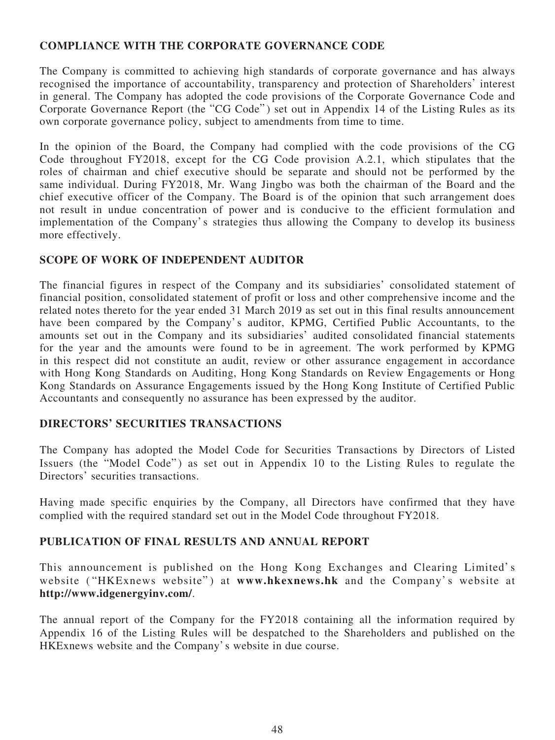# **COMPLIANCE WITH THE CORPORATE GOVERNANCE CODE**

The Company is committed to achieving high standards of corporate governance and has always recognised the importance of accountability, transparency and protection of Shareholders' interest in general. The Company has adopted the code provisions of the Corporate Governance Code and Corporate Governance Report (the "CG Code" ) set out in Appendix 14 of the Listing Rules as its own corporate governance policy, subject to amendments from time to time.

In the opinion of the Board, the Company had complied with the code provisions of the CG Code throughout FY2018, except for the CG Code provision A.2.1, which stipulates that the roles of chairman and chief executive should be separate and should not be performed by the same individual. During FY2018, Mr. Wang Jingbo was both the chairman of the Board and the chief executive officer of the Company. The Board is of the opinion that such arrangement does not result in undue concentration of power and is conducive to the efficient formulation and implementation of the Company's strategies thus allowing the Company to develop its business more effectively.

# **SCOPE OF WORK OF INDEPENDENT AUDITOR**

The financial figures in respect of the Company and its subsidiaries' consolidated statement of financial position, consolidated statement of profit or loss and other comprehensive income and the related notes thereto for the year ended 31 March 2019 as set out in this final results announcement have been compared by the Company's auditor, KPMG, Certified Public Accountants, to the amounts set out in the Company and its subsidiaries' audited consolidated financial statements for the year and the amounts were found to be in agreement. The work performed by KPMG in this respect did not constitute an audit, review or other assurance engagement in accordance with Hong Kong Standards on Auditing, Hong Kong Standards on Review Engagements or Hong Kong Standards on Assurance Engagements issued by the Hong Kong Institute of Certified Public Accountants and consequently no assurance has been expressed by the auditor.

# **DIRECTORS' SECURITIES TRANSACTIONS**

The Company has adopted the Model Code for Securities Transactions by Directors of Listed Issuers (the "Model Code") as set out in Appendix 10 to the Listing Rules to regulate the Directors' securities transactions.

Having made specific enquiries by the Company, all Directors have confirmed that they have complied with the required standard set out in the Model Code throughout FY2018.

# **PUBLICATION OF FINAL RESULTS AND ANNUAL REPORT**

This announcement is published on the Hong Kong Exchanges and Clearing Limited's website ("HKExnews website") at **www.hkexnews.hk** and the Company's website at **http://www.idgenergyinv.com/**.

The annual report of the Company for the FY2018 containing all the information required by Appendix 16 of the Listing Rules will be despatched to the Shareholders and published on the HKExnews website and the Company's website in due course.